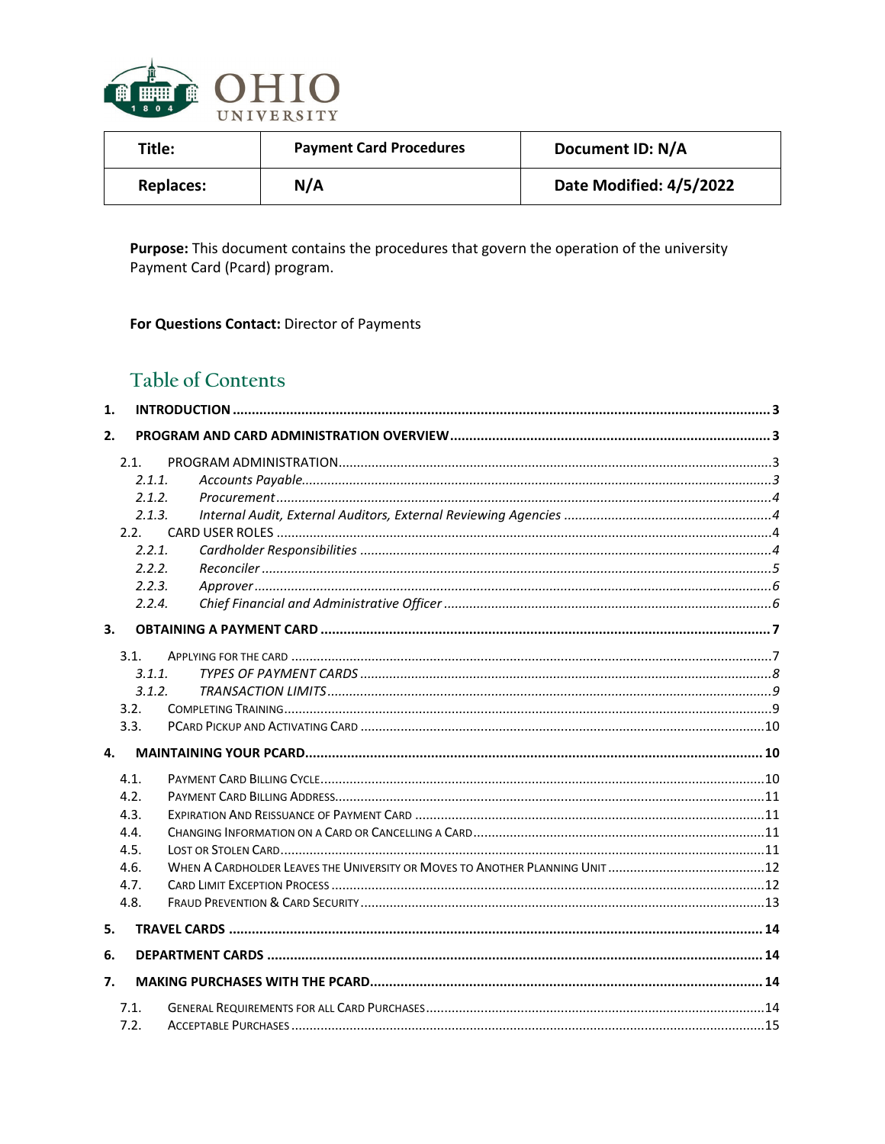

| Title:           | <b>Payment Card Procedures</b> | Document ID: N/A        |
|------------------|--------------------------------|-------------------------|
| <b>Replaces:</b> | N/A                            | Date Modified: 4/5/2022 |

Purpose: This document contains the procedures that govern the operation of the university Payment Card (Pcard) program.

For Questions Contact: Director of Payments

# Table of Contents

| 1. |        |  |
|----|--------|--|
| 2. |        |  |
|    | 2.1.   |  |
|    | 2.1.1  |  |
|    | 2.1.2. |  |
|    | 2.1.3. |  |
|    | 2.2.   |  |
|    | 2.2.1. |  |
|    | 2.2.2. |  |
|    | 2.2.3. |  |
|    | 2.2.4. |  |
| 3. |        |  |
|    | 3.1.   |  |
|    | 3.1.1. |  |
|    | 3.1.2. |  |
|    | 3.2.   |  |
|    | 3.3.   |  |
| 4. |        |  |
|    | 4.1.   |  |
|    | 4.2.   |  |
|    | 4.3.   |  |
|    | 4.4.   |  |
|    | 4.5.   |  |
|    | 4.6.   |  |
|    | 4.7.   |  |
|    | 4.8.   |  |
| 5. |        |  |
| 6. |        |  |
| 7. |        |  |
|    | 7.1.   |  |
|    | 7.2.   |  |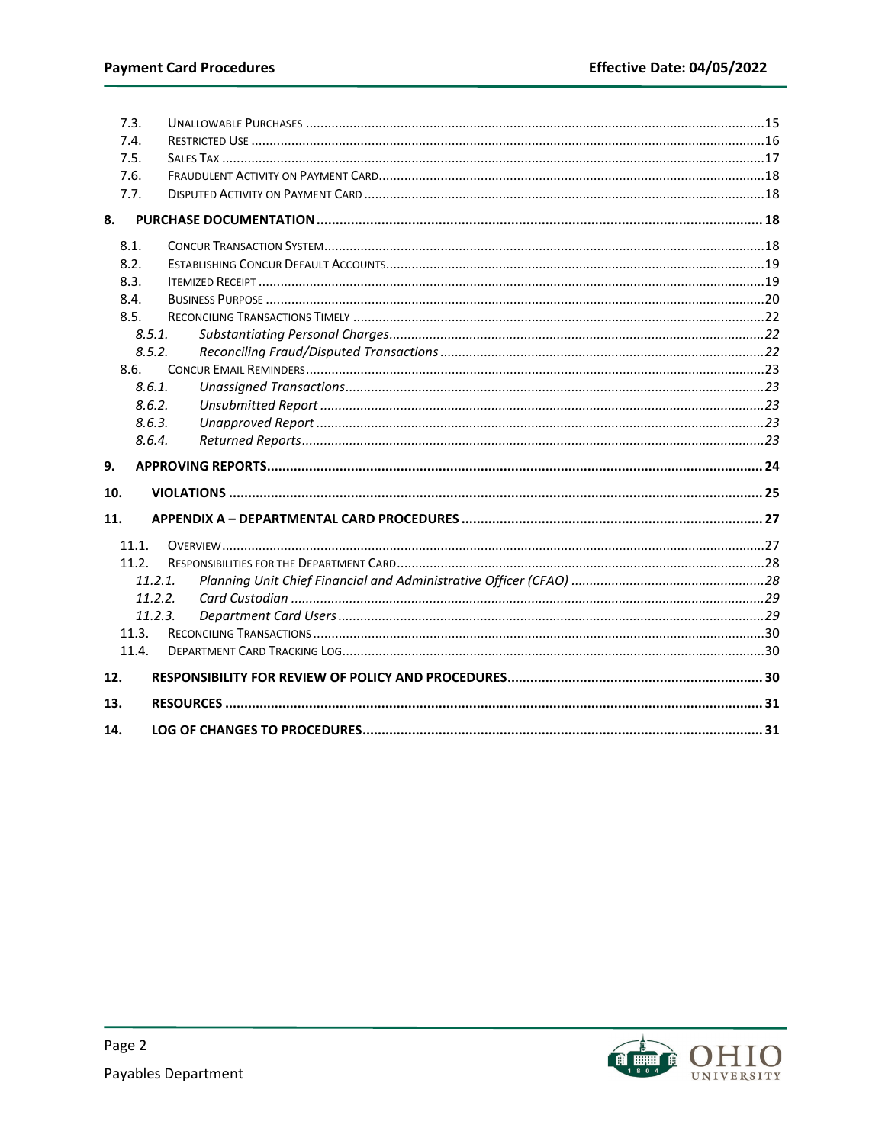|     | 7.3.    |  |
|-----|---------|--|
|     | 7.4.    |  |
|     | 7.5.    |  |
|     | 7.6.    |  |
|     | 7.7.    |  |
| 8.  |         |  |
|     | 8.1.    |  |
|     | 8.2.    |  |
|     | 8.3.    |  |
|     | 8.4.    |  |
|     | 8.5.    |  |
|     | 8.5.1.  |  |
|     | 8.5.2.  |  |
|     | 8.6.    |  |
|     | 8.6.1.  |  |
|     | 8.6.2.  |  |
|     | 8.6.3.  |  |
|     | 8.6.4.  |  |
| 9.  |         |  |
| 10. |         |  |
| 11. |         |  |
|     | 11.1.   |  |
|     | 11.2.   |  |
|     |         |  |
|     | 11.2.1. |  |
|     | 11.2.2. |  |
|     | 11.2.3. |  |
|     | 11.3.   |  |
|     | 11.4.   |  |
| 12. |         |  |
| 13. |         |  |

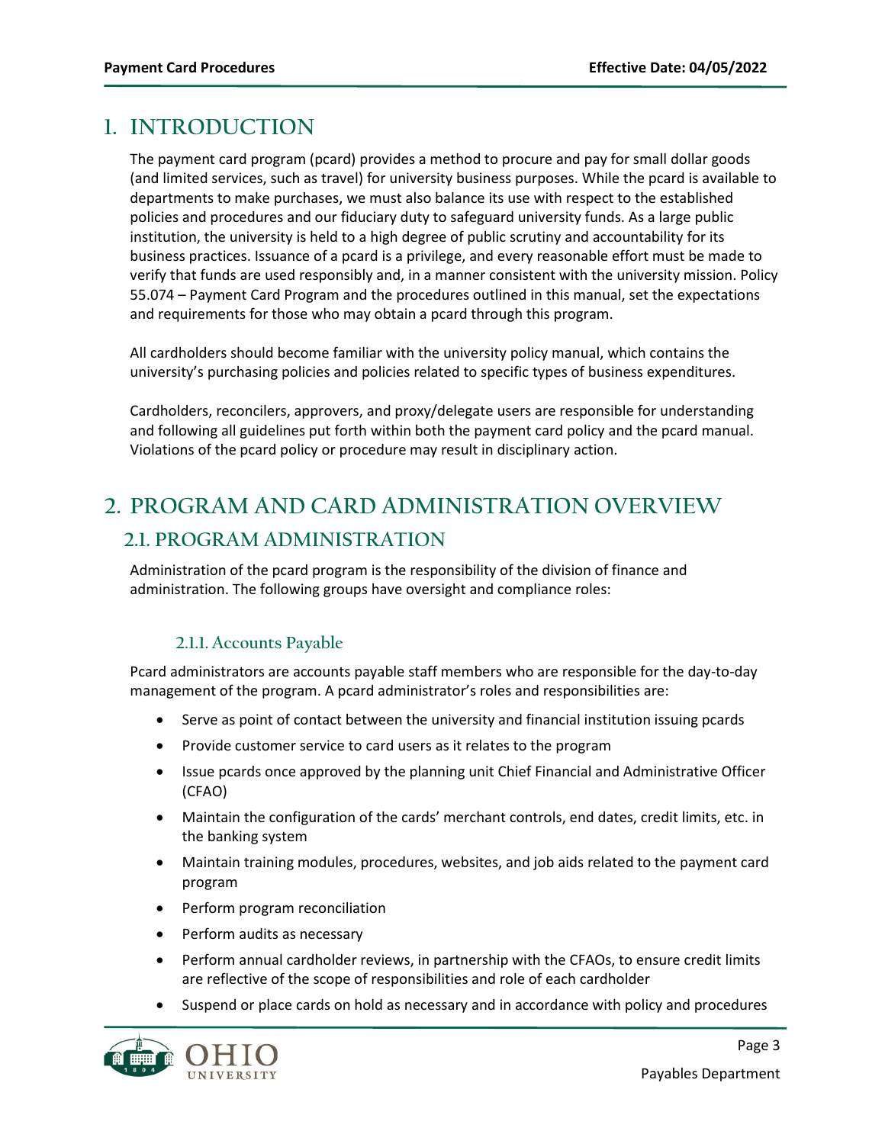# <span id="page-2-0"></span>**1. INTRODUCTION**

The payment card program (pcard) provides a method to procure and pay for small dollar goods (and limited services, such as travel) for university business purposes. While the pcard is available to departments to make purchases, we must also balance its use with respect to the established policies and procedures and our fiduciary duty to safeguard university funds. As a large public institution, the university is held to a high degree of public scrutiny and accountability for its business practices. Issuance of a pcard is a privilege, and every reasonable effort must be made to verify that funds are used responsibly and, in a manner consistent with the university mission. Policy 55.074 – Payment Card Program and the procedures outlined in this manual, set the expectations and requirements for those who may obtain a pcard through this program.

All cardholders should become familiar with the university policy manual, which contains the university's purchasing policies and policies related to specific types of business expenditures.

Cardholders, reconcilers, approvers, and proxy/delegate users are responsible for understanding and following all guidelines put forth within both the payment card policy and the pcard manual. Violations of the pcard policy or procedure may result in disciplinary action.

# <span id="page-2-2"></span><span id="page-2-1"></span>**2. PROGRAM AND CARD ADMINISTRATION OVERVIEW 2.1. PROGRAM ADMINISTRATION**

Administration of the pcard program is the responsibility of the division of finance and administration. The following groups have oversight and compliance roles:

### **2.1.1. Accounts Payable**

<span id="page-2-3"></span>Pcard administrators are accounts payable staff members who are responsible for the day-to-day management of the program. A pcard administrator's roles and responsibilities are:

- Serve as point of contact between the university and financial institution issuing pcards
- Provide customer service to card users as it relates to the program
- Issue pcards once approved by the planning unit Chief Financial and Administrative Officer (CFAO)
- Maintain the configuration of the cards' merchant controls, end dates, credit limits, etc. in the banking system
- Maintain training modules, procedures, websites, and job aids related to the payment card program
- Perform program reconciliation
- Perform audits as necessary
- Perform annual cardholder reviews, in partnership with the CFAOs, to ensure credit limits are reflective of the scope of responsibilities and role of each cardholder
- Suspend or place cards on hold as necessary and in accordance with policy and procedures

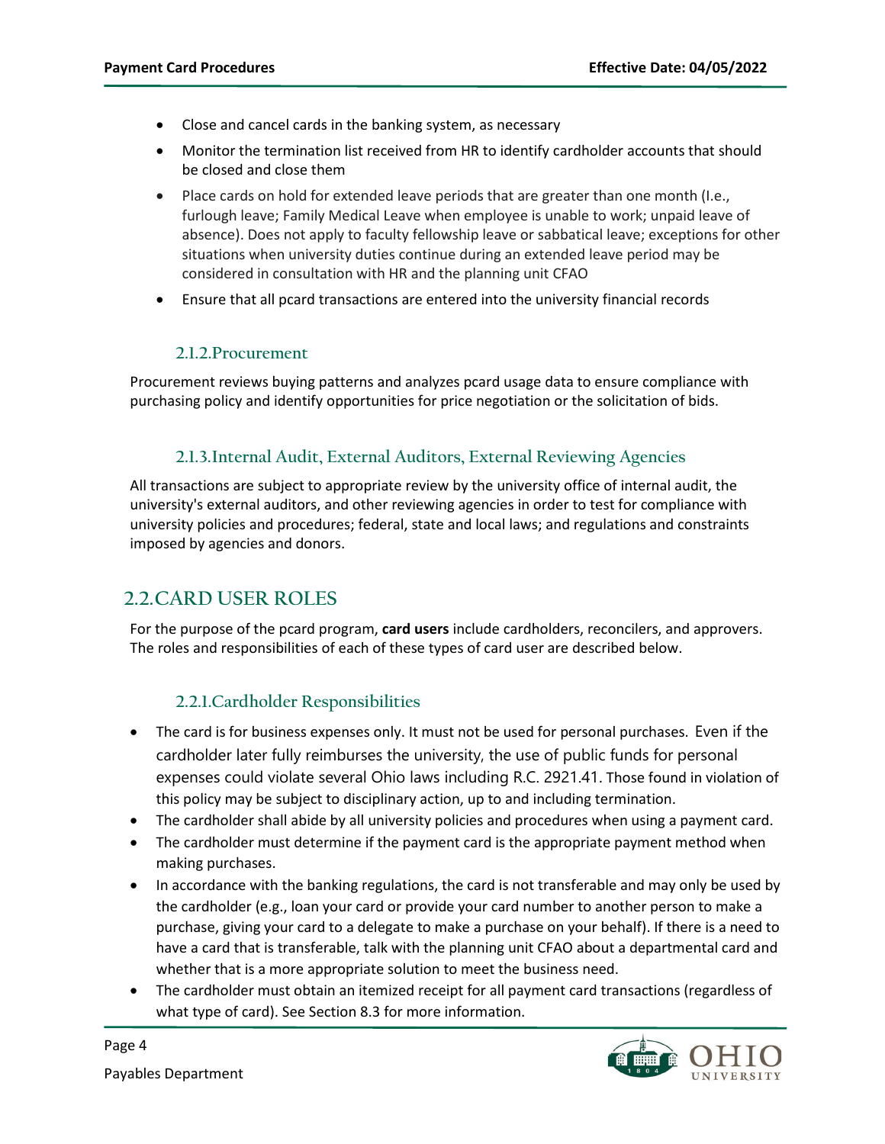- Close and cancel cards in the banking system, as necessary
- Monitor the termination list received from HR to identify cardholder accounts that should be closed and close them
- Place cards on hold for extended leave periods that are greater than one month (I.e., furlough leave; Family Medical Leave when employee is unable to work; unpaid leave of absence). Does not apply to faculty fellowship leave or sabbatical leave; exceptions for other situations when university duties continue during an extended leave period may be considered in consultation with HR and the planning unit CFAO
- Ensure that all pcard transactions are entered into the university financial records

#### **2.1.2.Procurement**

<span id="page-3-0"></span>Procurement reviews buying patterns and analyzes pcard usage data to ensure compliance with purchasing policy and identify opportunities for price negotiation or the solicitation of bids.

### **2.1.3.Internal Audit, External Auditors, External Reviewing Agencies**

<span id="page-3-1"></span>All transactions are subject to appropriate review by the university office of internal audit, the university's external auditors, and other reviewing agencies in order to test for compliance with university policies and procedures; federal, state and local laws; and regulations and constraints imposed by agencies and donors.

## <span id="page-3-2"></span>**2.2.CARD USER ROLES**

For the purpose of the pcard program, **card users** include cardholders, reconcilers, and approvers. The roles and responsibilities of each of these types of card user are described below.

#### **2.2.1.Cardholder Responsibilities**

- <span id="page-3-3"></span>• The card is for business expenses only. It must not be used for personal purchases. Even if the cardholder later fully reimburses the university, the use of public funds for personal expenses could violate several Ohio laws including R.C. 2921.41. Those found in violation of this policy may be subject to disciplinary action, up to and including termination.
- The cardholder shall abide by all university policies and procedures when using a payment card.
- The cardholder must determine if the payment card is the appropriate payment method when making purchases.
- In accordance with the banking regulations, the card is not transferable and may only be used by the cardholder (e.g., loan your card or provide your card number to another person to make a purchase, giving your card to a delegate to make a purchase on your behalf). If there is a need to have a card that is transferable, talk with the planning unit CFAO about a departmental card and whether that is a more appropriate solution to meet the business need.
- The cardholder must obtain an itemized receipt for all payment card transactions (regardless of what type of card). See Section [8.3](#page-18-1) for more information.



Page 4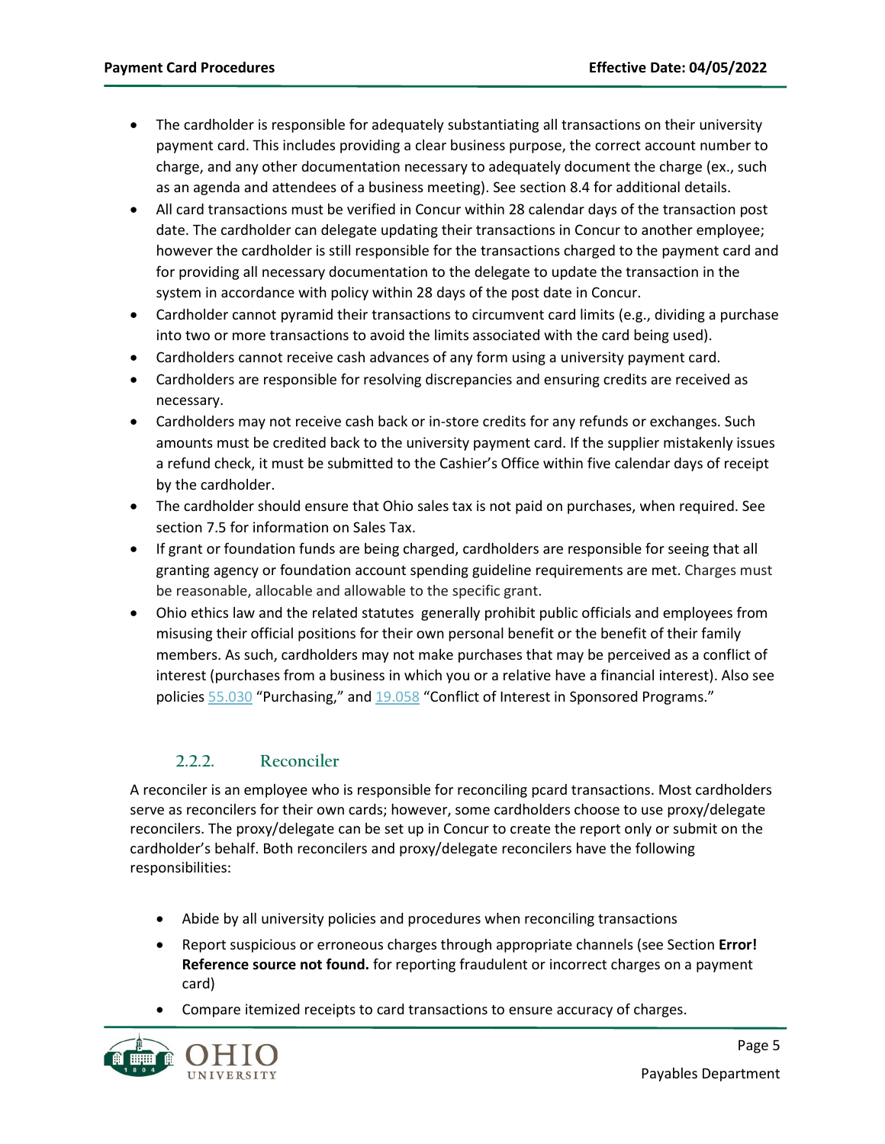- The cardholder is responsible for adequately substantiating all transactions on their university payment card. This includes providing a clear business purpose, the correct account number to charge, and any other documentation necessary to adequately document the charge (ex., such as an agenda and attendees of a business meeting). See section [8.4](#page-19-0) for additional details.
- All card transactions must be verified in Concur within 28 calendar days of the transaction post date. The cardholder can delegate updating their transactions in Concur to another employee; however the cardholder is still responsible for the transactions charged to the payment card and for providing all necessary documentation to the delegate to update the transaction in the system in accordance with policy within 28 days of the post date in Concur.
- Cardholder cannot pyramid their transactions to circumvent card limits (e.g., dividing a purchase into two or more transactions to avoid the limits associated with the card being used).
- Cardholders cannot receive cash advances of any form using a university payment card.
- Cardholders are responsible for resolving discrepancies and ensuring credits are received as necessary.
- Cardholders may not receive cash back or in-store credits for any refunds or exchanges. Such amounts must be credited back to the university payment card. If the supplier mistakenly issues a refund check, it must be submitted to the Cashier's Office within five calendar days of receipt by the cardholder.
- The cardholder should ensure that Ohio sales tax is not paid on purchases, when required. See sectio[n 7.5](#page-16-0) for information on Sales Tax.
- If grant or foundation funds are being charged, cardholders are responsible for seeing that all granting agency or foundation account spending guideline requirements are met. Charges must be reasonable, allocable and allowable to the specific grant.
- Ohio ethics law and the related statutes generally prohibit public officials and employees from misusing their official positions for their own personal benefit or the benefit of their family members. As such, cardholders may not make purchases that may be perceived as a conflict of interest (purchases from a business in which you or a relative have a financial interest). Also see policies [55.030](https://www.ohio.edu/policy/55-030) "Purchasing," an[d 19.058](https://www.ohio.edu/policy/19-058) "Conflict of Interest in Sponsored Programs."

#### **2.2.2. Reconciler**

<span id="page-4-0"></span>A reconciler is an employee who is responsible for reconciling pcard transactions. Most cardholders serve as reconcilers for their own cards; however, some cardholders choose to use proxy/delegate reconcilers. The proxy/delegate can be set up in Concur to create the report only or submit on the cardholder's behalf. Both reconcilers and proxy/delegate reconcilers have the following responsibilities:

- Abide by all university policies and procedures when reconciling transactions
- Report suspicious or erroneous charges through appropriate channels (see Section **Error! Reference source not found.** for reporting fraudulent or incorrect charges on a payment card)
- Compare itemized receipts to card transactions to ensure accuracy of charges.

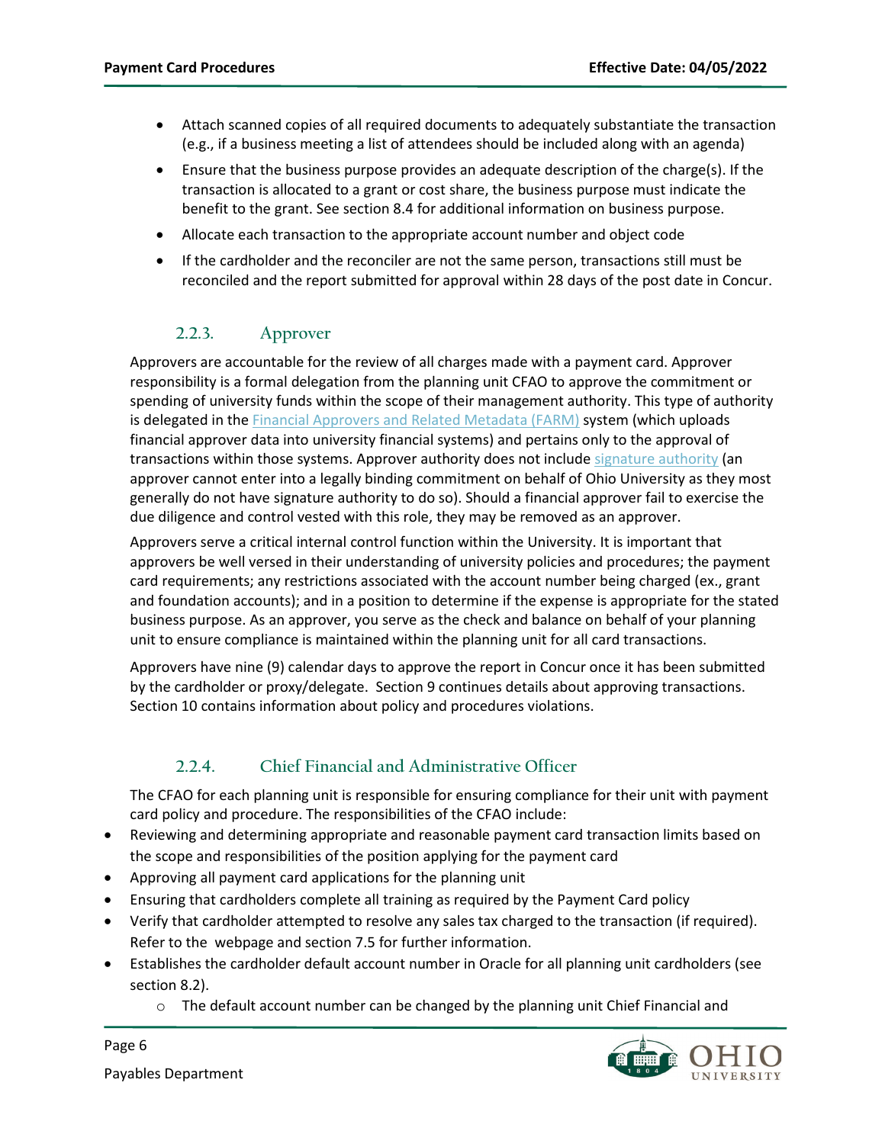- Attach scanned copies of all required documents to adequately substantiate the transaction (e.g., if a business meeting a list of attendees should be included along with an agenda)
- Ensure that the business purpose provides an adequate description of the charge(s). If the transaction is allocated to a grant or cost share, the business purpose must indicate the benefit to the grant. See section [8.4](#page-19-0) for additional information on business purpose.
- Allocate each transaction to the appropriate account number and object code
- If the cardholder and the reconciler are not the same person, transactions still must be reconciled and the report submitted for approval within 28 days of the post date in Concur.

### **2.2.3. Approver**

<span id="page-5-0"></span>Approvers are accountable for the review of all charges made with a payment card. Approver responsibility is a formal delegation from the planning unit CFAO to approve the commitment or spending of university funds within the scope of their management authority. This type of authority is delegated in the **Financial Approvers and Related Metadata (FARM)** system (which uploads financial approver data into university financial systems) and pertains only to the approval of transactions within those systems. Approver authority does not include [signature authority](https://www.ohio.edu/finance-administration/signature-authority) (an approver cannot enter into a legally binding commitment on behalf of Ohio University as they most generally do not have signature authority to do so). Should a financial approver fail to exercise the due diligence and control vested with this role, they may be removed as an approver.

Approvers serve a critical internal control function within the University. It is important that approvers be well versed in their understanding of university policies and procedures; the payment card requirements; any restrictions associated with the account number being charged (ex., grant and foundation accounts); and in a position to determine if the expense is appropriate for the stated business purpose. As an approver, you serve as the check and balance on behalf of your planning unit to ensure compliance is maintained within the planning unit for all card transactions.

Approvers have nine (9) calendar days to approve the report in Concur once it has been submitted by the cardholder or proxy/delegate. Sectio[n 9](#page-23-0) continues details about approving transactions. Sectio[n 10](#page-24-0) contains information about policy and procedures violations.

### **2.2.4. Chief Financial and Administrative Officer**

<span id="page-5-1"></span>The CFAO for each planning unit is responsible for ensuring compliance for their unit with payment card policy and procedure. The responsibilities of the CFAO include:

- Reviewing and determining appropriate and reasonable payment card transaction limits based on the scope and responsibilities of the position applying for the payment card
- Approving all payment card applications for the planning unit
- Ensuring that cardholders complete all training as required by the Payment Card policy
- Verify that cardholder attempted to resolve any sales tax charged to the transaction (if required). Refer to the webpage and section [7.5](#page-16-0) for further information.
- Establishes the cardholder default account number in Oracle for all planning unit cardholders (see sectio[n 8.2\)](#page-18-0).
	- $\circ$  The default account number can be changed by the planning unit Chief Financial and



Page 6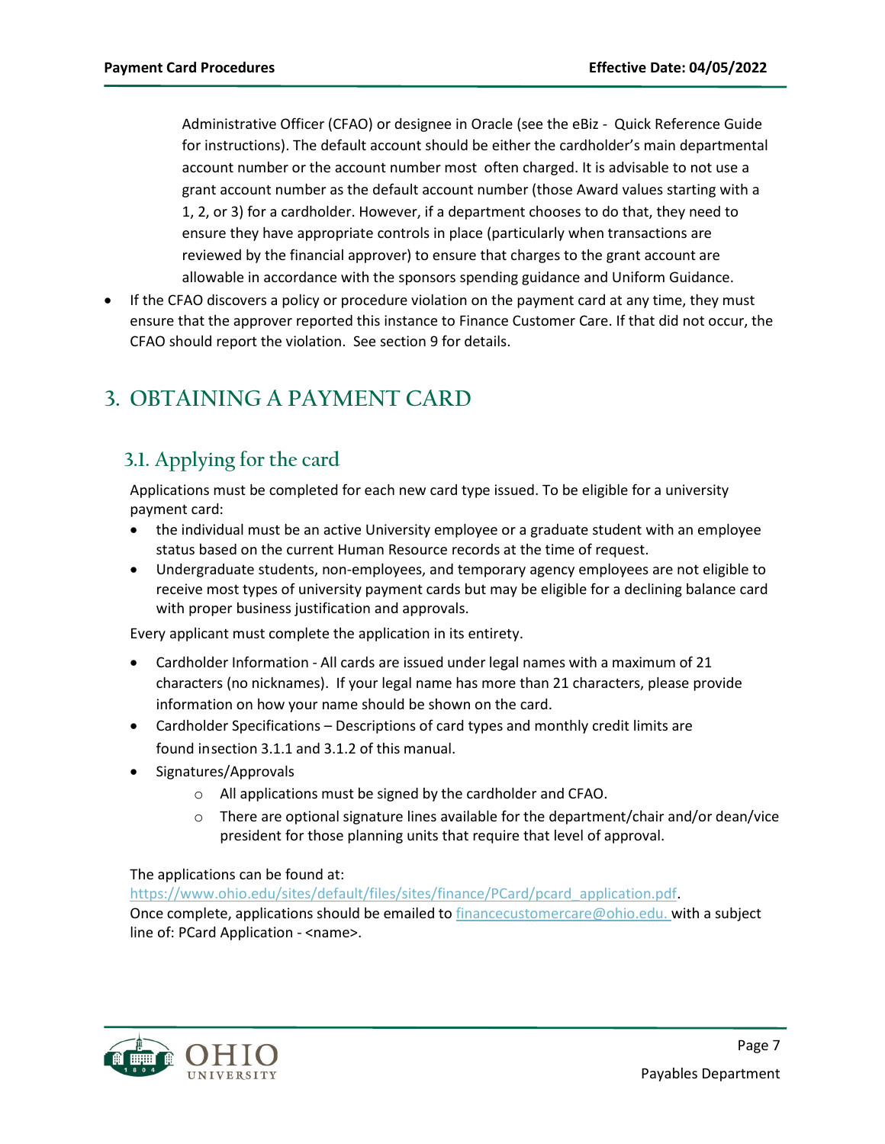Administrative Officer (CFAO) or designee in Oracle (see the eBiz - Quick Reference Guide for instructions). The default account should be either the cardholder's main departmental account number or the account number most often charged. It is advisable to not use a grant account number as the default account number (those Award values starting with a 1, 2, or 3) for a cardholder. However, if a department chooses to do that, they need to ensure they have appropriate controls in place (particularly when transactions are reviewed by the financial approver) to ensure that charges to the grant account are allowable in accordance with the sponsors spending guidance and Uniform Guidance.

• If the CFAO discovers a policy or procedure violation on the payment card at any time, they must ensure that the approver reported this instance to Finance Customer Care. If that did not occur, the CFAO should report the violation. See sectio[n 9](#page-23-0) for details.

# <span id="page-6-0"></span>**3. OBTAINING A PAYMENT CARD**

# <span id="page-6-1"></span>**3.1. Applying for the card**

Applications must be completed for each new card type issued. To be eligible for a university payment card:

- the individual must be an active University employee or a graduate student with an employee status based on the current Human Resource records at the time of request.
- Undergraduate students, non-employees, and temporary agency employees are not eligible to receive most types of university payment cards but may be eligible for a declining balance card with proper business justification and approvals.

Every applicant must complete the application in its entirety.

- Cardholder Information All cards are issued under legal names with a maximum of 21 characters (no nicknames). If your legal name has more than 21 characters, please provide information on how your name should be shown on the card.
- Cardholder Specifications Descriptions of card types and monthly credit limits are found in section [3.1.1](#page-7-0) and [3.1.2](#page-8-0) of this manual.
- Signatures/Approvals
	- o All applications must be signed by the cardholder and CFAO.
	- $\circ$  There are optional signature lines available for the department/chair and/or dean/vice president for those planning units that require that level of approval.

The applications can be found at:

[https://www.ohio.edu/sites/default/files/sites/finance/PCard/pcard\\_application.pdf.](https://www.ohio.edu/sites/default/files/sites/finance/PCard/pcard_application.pdf) Once complete, applications should be emailed to  $f$ inancecustomercare@ohio.edu. with a subject line of: PCard Application - <name>.

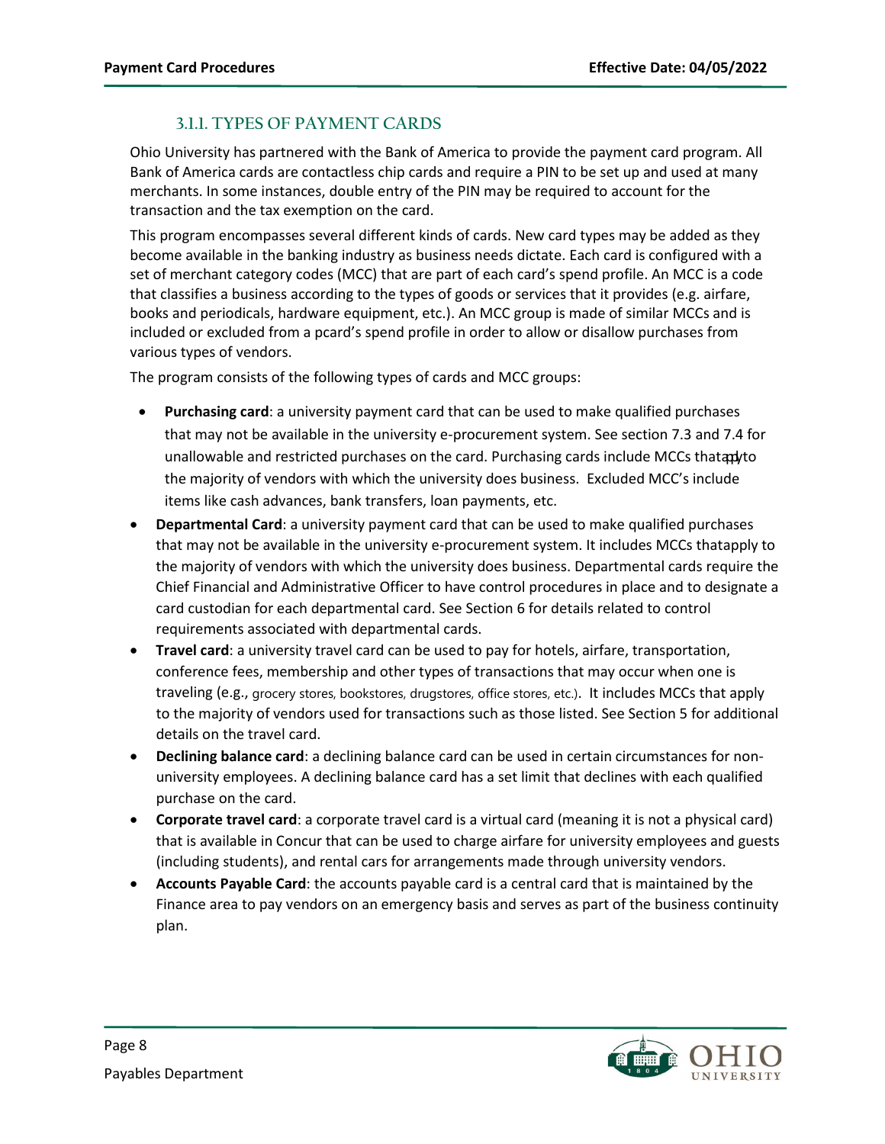### **3.1.1. TYPES OF PAYMENT CARDS**

<span id="page-7-0"></span>Ohio University has partnered with the Bank of America to provide the payment card program. All Bank of America cards are contactless chip cards and require a PIN to be set up and used at many merchants. In some instances, double entry of the PIN may be required to account for the transaction and the tax exemption on the card.

This program encompasses several different kinds of cards. New card types may be added as they become available in the banking industry as business needs dictate. Each card is configured with a set of merchant category codes (MCC) that are part of each card's spend profile. An MCC is a code that classifies a business according to the types of goods or services that it provides (e.g. airfare, books and periodicals, hardware equipment, etc.). An MCC group is made of similar MCCs and is included or excluded from a pcard's spend profile in order to allow or disallow purchases from various types of vendors.

The program consists of the following types of cards and MCC groups:

- **Purchasing card**: a university payment card that can be used to make qualified purchases that may not be available in the university e-procurement system. See sectio[n 7.3](#page-14-1) an[d 7.4](#page-15-0) for unallowable and restricted purchases on the card. Purchasing cards include MCCs thatapyto the majority of vendors with which the university does business. Excluded MCC's include items like cash advances, bank transfers, loan payments, etc.
- **Departmental Card**: a university payment card that can be used to make qualified purchases that may not be available in the university e-procurement system. It includes MCCs thatapply to the majority of vendors with which the university does business. Departmental cards require the Chief Financial and Administrative Officer to have control procedures in place and to designate a card custodian for each departmental card. See Section [6](#page-13-1) for details related to control requirements associated with departmental cards.
- **Travel card**: a university travel card can be used to pay for hotels, airfare, transportation, conference fees, membership and other types of transactions that may occur when one is traveling (e.g., grocery stores, bookstores, drugstores, office stores, etc.). It includes MCCs that apply to the majority of vendors used for transactions such as those listed. See Section [5](#page-13-0) for additional details on the travel card.
- **Declining balance card**: a declining balance card can be used in certain circumstances for nonuniversity employees. A declining balance card has a set limit that declines with each qualified purchase on the card.
- **Corporate travel card**: a corporate travel card is a virtual card (meaning it is not a physical card) that is available in Concur that can be used to charge airfare for university employees and guests (including students), and rental cars for arrangements made through university vendors.
- **Accounts Payable Card**: the accounts payable card is a central card that is maintained by the Finance area to pay vendors on an emergency basis and serves as part of the business continuity plan.

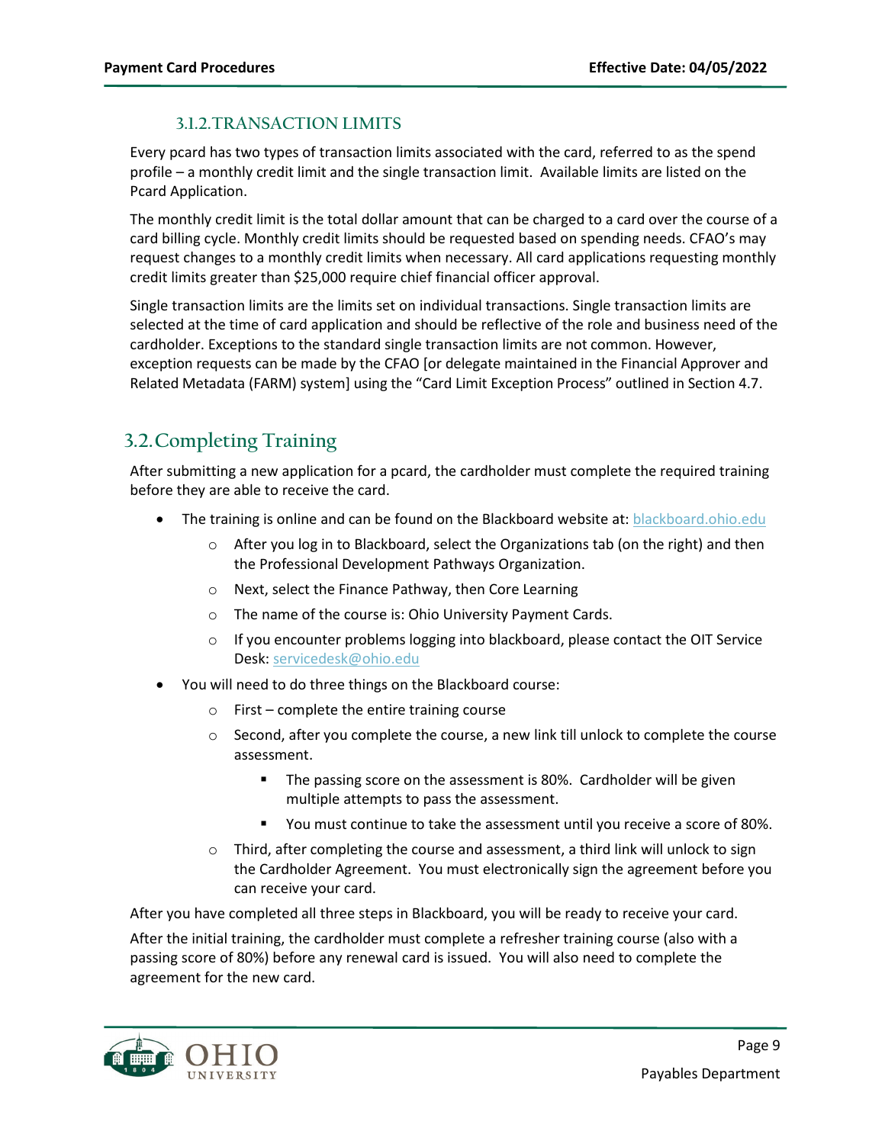### **3.1.2.TRANSACTION LIMITS**

<span id="page-8-0"></span>Every pcard has two types of transaction limits associated with the card, referred to as the spend profile – a monthly credit limit and the single transaction limit. Available limits are listed on the Pcard Application.

The monthly credit limit is the total dollar amount that can be charged to a card over the course of a card billing cycle. Monthly credit limits should be requested based on spending needs. CFAO's may request changes to a monthly credit limits when necessary. All card applications requesting monthly credit limits greater than \$25,000 require chief financial officer approval.

Single transaction limits are the limits set on individual transactions. Single transaction limits are selected at the time of card application and should be reflective of the role and business need of the cardholder. Exceptions to the standard single transaction limits are not common. However, exception requests can be made by the CFAO [or delegate maintained in the Financial Approver and Related Metadata (FARM) system] using the "Card Limit Exception Process" outlined in Section [4.7.](#page-11-1)

## <span id="page-8-1"></span>**3.2.Completing Training**

After submitting a new application for a pcard, the cardholder must complete the required training before they are able to receive the card.

- The training is online and can be found on the Blackboard website at: **blackboard.ohio.edu** 
	- $\circ$  After you log in to Blackboard, select the Organizations tab (on the right) and then the Professional Development Pathways Organization.
	- o Next, select the Finance Pathway, then Core Learning
	- o The name of the course is: Ohio University Payment Cards.
	- $\circ$  If you encounter problems logging into blackboard, please contact the OIT Service Desk: [servicedesk@ohio.edu](mailto:servicedesk@ohio.edu)
- You will need to do three things on the Blackboard course:
	- $\circ$  First complete the entire training course
	- $\circ$  Second, after you complete the course, a new link till unlock to complete the course assessment.
		- **The passing score on the assessment is 80%. Cardholder will be given** multiple attempts to pass the assessment.
		- You must continue to take the assessment until you receive a score of 80%.
	- $\circ$  Third, after completing the course and assessment, a third link will unlock to sign the Cardholder Agreement. You must electronically sign the agreement before you can receive your card.

After you have completed all three steps in Blackboard, you will be ready to receive your card.

After the initial training, the cardholder must complete a refresher training course (also with a passing score of 80%) before any renewal card is issued. You will also need to complete the agreement for the new card.

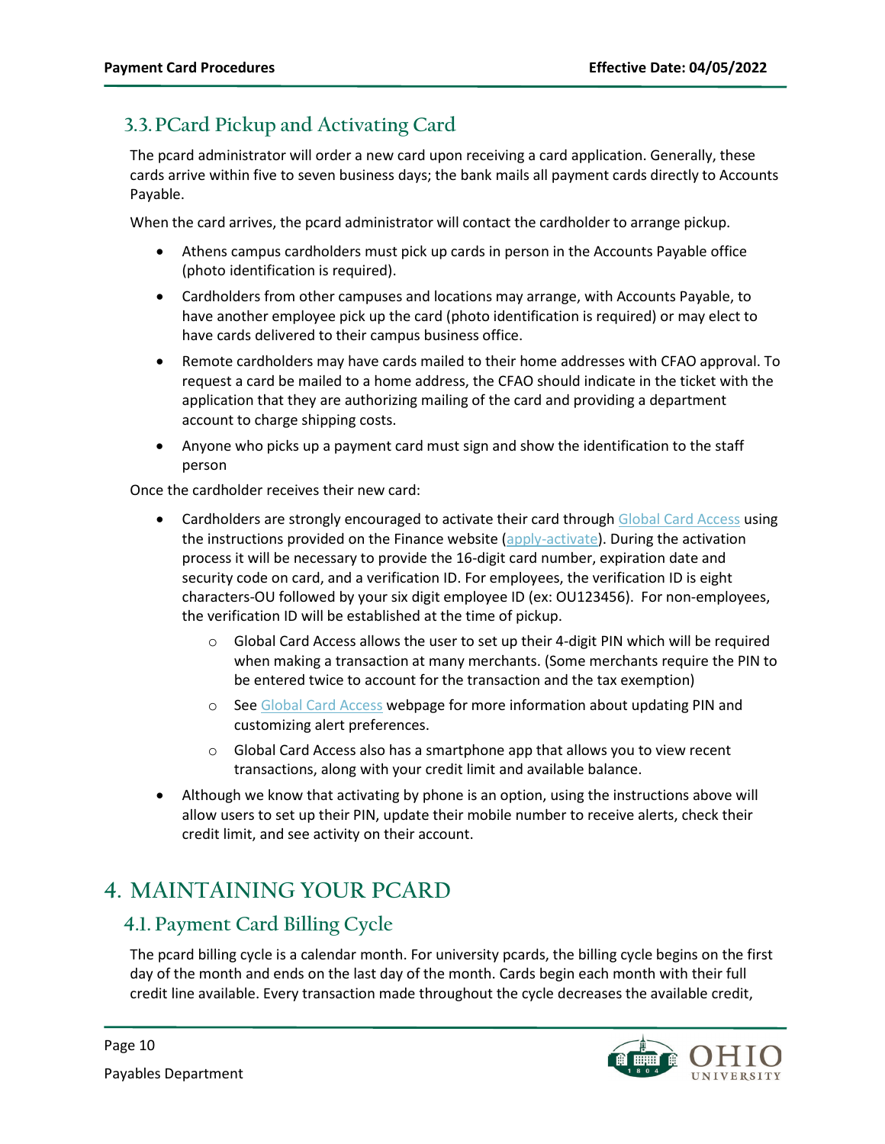# <span id="page-9-0"></span>**3.3.PCard Pickup and Activating Card**

The pcard administrator will order a new card upon receiving a card application. Generally, these cards arrive within five to seven business days; the bank mails all payment cards directly to Accounts Payable.

When the card arrives, the pcard administrator will contact the cardholder to arrange pickup.

- Athens campus cardholders must pick up cards in person in the Accounts Payable office (photo identification is required).
- Cardholders from other campuses and locations may arrange, with Accounts Payable, to have another employee pick up the card (photo identification is required) or may elect to have cards delivered to their campus business office.
- Remote cardholders may have cards mailed to their home addresses with CFAO approval. To request a card be mailed to a home address, the CFAO should indicate in the ticket with the application that they are authorizing mailing of the card and providing a department account to charge shipping costs.
- Anyone who picks up a payment card must sign and show the identification to the staff person

Once the cardholder receives their new card:

- Cardholders are strongly encouraged to activate their card through [Global Card Access](https://spacardportal.works.com/gar/login) using the instructions provided on the Finance website [\(apply-activate\)](https://www.ohio.edu/finance/pcard/apply-activate). During the activation process it will be necessary to provide the 16-digit card number, expiration date and security code on card, and a verification ID. For employees, the verification ID is eight characters-OU followed by your six digit employee ID (ex: OU123456). For non-employees, the verification ID will be established at the time of pickup.
	- o Global Card Access allows the user to set up their 4-digit PIN which will be required when making a transaction at many merchants. (Some merchants require the PIN to be entered twice to account for the transaction and the tax exemption)
	- o Se[e Global Card Access](https://www.ohio.edu/finance/pcard/gca) webpage for more information about updating PIN and customizing alert preferences.
	- $\circ$  Global Card Access also has a smartphone app that allows you to view recent transactions, along with your credit limit and available balance.
- Although we know that activating by phone is an option, using the instructions above will allow users to set up their PIN, update their mobile number to receive alerts, check their credit limit, and see activity on their account.

# <span id="page-9-1"></span>**4. MAINTAINING YOUR PCARD**

## <span id="page-9-2"></span>**4.1. Payment Card Billing Cycle**

The pcard billing cycle is a calendar month. For university pcards, the billing cycle begins on the first day of the month and ends on the last day of the month. Cards begin each month with their full credit line available. Every transaction made throughout the cycle decreases the available credit,

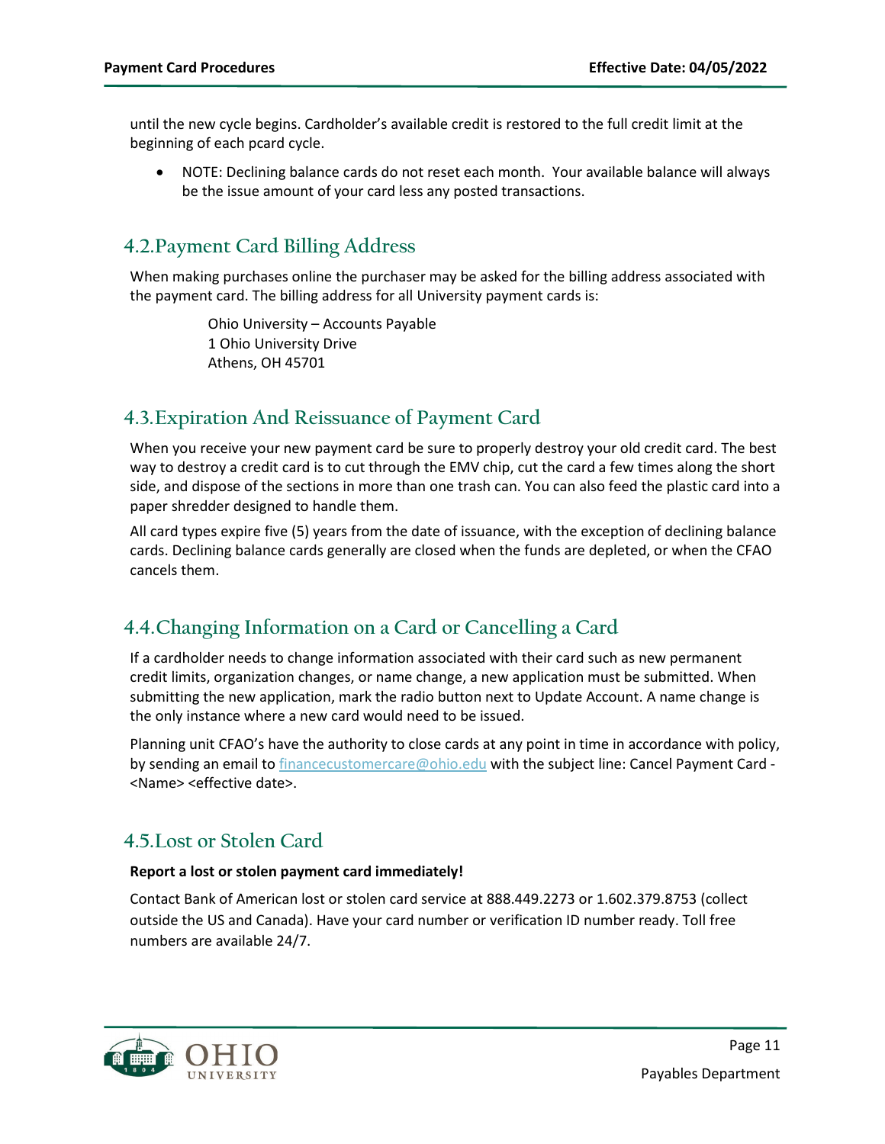until the new cycle begins. Cardholder's available credit is restored to the full credit limit at the beginning of each pcard cycle.

• NOTE: Declining balance cards do not reset each month. Your available balance will always be the issue amount of your card less any posted transactions.

## <span id="page-10-0"></span>**4.2.Payment Card Billing Address**

When making purchases online the purchaser may be asked for the billing address associated with the payment card. The billing address for all University payment cards is:

> Ohio University – Accounts Payable 1 Ohio University Drive Athens, OH 45701

### <span id="page-10-1"></span>**4.3.Expiration And Reissuance of Payment Card**

When you receive your new payment card be sure to properly destroy your old credit card. The best way to destroy a credit card is to cut through the EMV chip, cut the card a few times along the short side, and dispose of the sections in more than one trash can. You can also feed the plastic card into a paper shredder designed to handle them.

All card types expire five (5) years from the date of issuance, with the exception of declining balance cards. Declining balance cards generally are closed when the funds are depleted, or when the CFAO cancels them.

## <span id="page-10-2"></span>**4.4.Changing Information on a Card or Cancelling a Card**

If a cardholder needs to change information associated with their card such as new permanent credit limits, organization changes, or name change, a new application must be submitted. When submitting the new application, mark the radio button next to Update Account. A name change is the only instance where a new card would need to be issued.

Planning unit CFAO's have the authority to close cards at any point in time in accordance with policy, by sending an email to [financecustomercare@ohio.edu](mailto:financecustomercare@ohio.edu) with the subject line: Cancel Payment Card -<Name> <effective date>.

## <span id="page-10-3"></span>**4.5.Lost or Stolen Card**

#### **Report a lost or stolen payment card immediately!**

Contact Bank of American lost or stolen card service at 888.449.2273 or 1.602.379.8753 (collect outside the US and Canada). Have your card number or verification ID number ready. Toll free numbers are available 24/7.

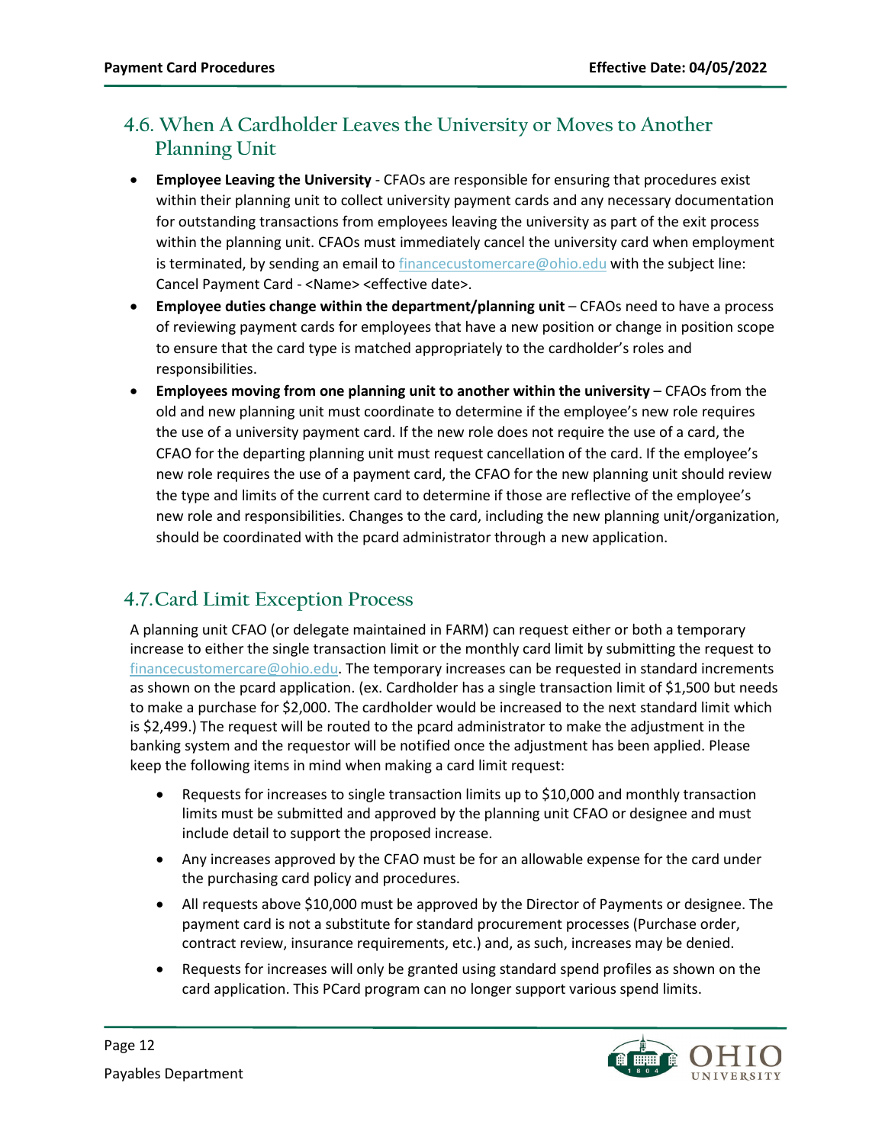## <span id="page-11-0"></span>**4.6. When A Cardholder Leaves the University or Moves to Another Planning Unit**

- **Employee Leaving the University** CFAOs are responsible for ensuring that procedures exist within their planning unit to collect university payment cards and any necessary documentation for outstanding transactions from employees leaving the university as part of the exit process within the planning unit. CFAOs must immediately cancel the university card when employment is terminated, by sending an email to [financecustomercare@ohio.edu](mailto:financecustomercare@ohio.edu) with the subject line: Cancel Payment Card - <Name> <effective date>.
- Employee duties change within the department/planning unit CFAOs need to have a process of reviewing payment cards for employees that have a new position or change in position scope to ensure that the card type is matched appropriately to the cardholder's roles and responsibilities.
- **Employees moving from one planning unit to another within the university** CFAOs from the old and new planning unit must coordinate to determine if the employee's new role requires the use of a university payment card. If the new role does not require the use of a card, the CFAO for the departing planning unit must request cancellation of the card. If the employee's new role requires the use of a payment card, the CFAO for the new planning unit should review the type and limits of the current card to determine if those are reflective of the employee's new role and responsibilities. Changes to the card, including the new planning unit/organization, should be coordinated with the pcard administrator through a new application.

# <span id="page-11-1"></span>**4.7.Card Limit Exception Process**

A planning unit CFAO (or delegate maintained in FARM) can request either or both a temporary increase to either the single transaction limit or the monthly card limit by submitting the request to [financecustomercare@ohio.edu.](mailto:financecustomercare@ohio.edu) The temporary increases can be requested in standard increments as shown on the pcard application. (ex. Cardholder has a single transaction limit of \$1,500 but needs to make a purchase for \$2,000. The cardholder would be increased to the next standard limit which is \$2,499.) The request will be routed to the pcard administrator to make the adjustment in the banking system and the requestor will be notified once the adjustment has been applied. Please keep the following items in mind when making a card limit request:

- Requests for increases to single transaction limits up to \$10,000 and monthly transaction limits must be submitted and approved by the planning unit CFAO or designee and must include detail to support the proposed increase.
- Any increases approved by the CFAO must be for an allowable expense for the card under the purchasing card policy and procedures.
- All requests above \$10,000 must be approved by the Director of Payments or designee. The payment card is not a substitute for standard procurement processes (Purchase order, contract review, insurance requirements, etc.) and, as such, increases may be denied.
- Requests for increases will only be granted using standard spend profiles as shown on the card application. This PCard program can no longer support various spend limits.

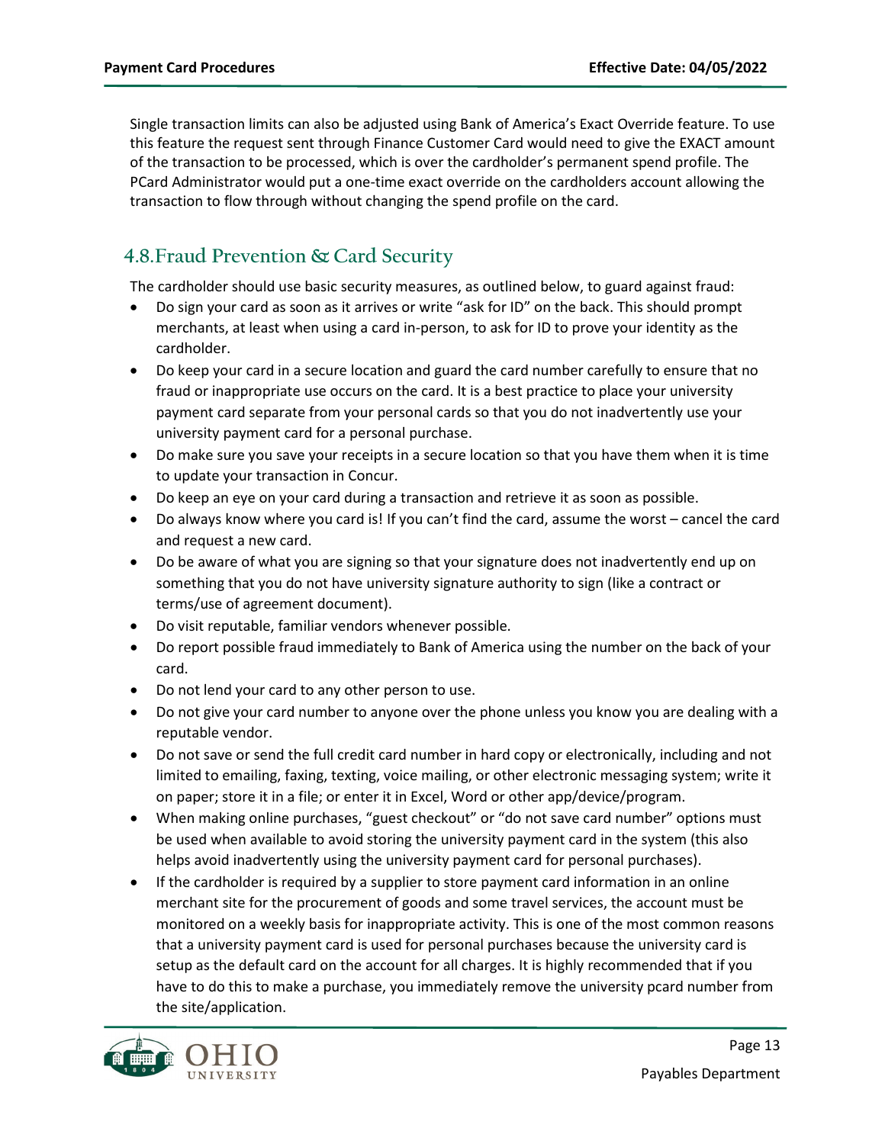Single transaction limits can also be adjusted using Bank of America's Exact Override feature. To use this feature the request sent through Finance Customer Card would need to give the EXACT amount of the transaction to be processed, which is over the cardholder's permanent spend profile. The PCard Administrator would put a one-time exact override on the cardholders account allowing the transaction to flow through without changing the spend profile on the card.

# <span id="page-12-0"></span>**4.8.Fraud Prevention & Card Security**

The cardholder should use basic security measures, as outlined below, to guard against fraud:

- Do sign your card as soon as it arrives or write "ask for ID" on the back. This should prompt merchants, at least when using a card in-person, to ask for ID to prove your identity as the cardholder.
- Do keep your card in a secure location and guard the card number carefully to ensure that no fraud or inappropriate use occurs on the card. It is a best practice to place your university payment card separate from your personal cards so that you do not inadvertently use your university payment card for a personal purchase.
- Do make sure you save your receipts in a secure location so that you have them when it is time to update your transaction in Concur.
- Do keep an eye on your card during a transaction and retrieve it as soon as possible.
- Do always know where you card is! If you can't find the card, assume the worst cancel the card and request a new card.
- Do be aware of what you are signing so that your signature does not inadvertently end up on something that you do not have university signature authority to sign (like a contract or terms/use of agreement document).
- Do visit reputable, familiar vendors whenever possible.
- Do report possible fraud immediately to Bank of America using the number on the back of your card.
- Do not lend your card to any other person to use.
- Do not give your card number to anyone over the phone unless you know you are dealing with a reputable vendor.
- Do not save or send the full credit card number in hard copy or electronically, including and not limited to emailing, faxing, texting, voice mailing, or other electronic messaging system; write it on paper; store it in a file; or enter it in Excel, Word or other app/device/program.
- When making online purchases, "guest checkout" or "do not save card number" options must be used when available to avoid storing the university payment card in the system (this also helps avoid inadvertently using the university payment card for personal purchases).
- If the cardholder is required by a supplier to store payment card information in an online merchant site for the procurement of goods and some travel services, the account must be monitored on a weekly basis for inappropriate activity. This is one of the most common reasons that a university payment card is used for personal purchases because the university card is setup as the default card on the account for all charges. It is highly recommended that if you have to do this to make a purchase, you immediately remove the university pcard number from the site/application.

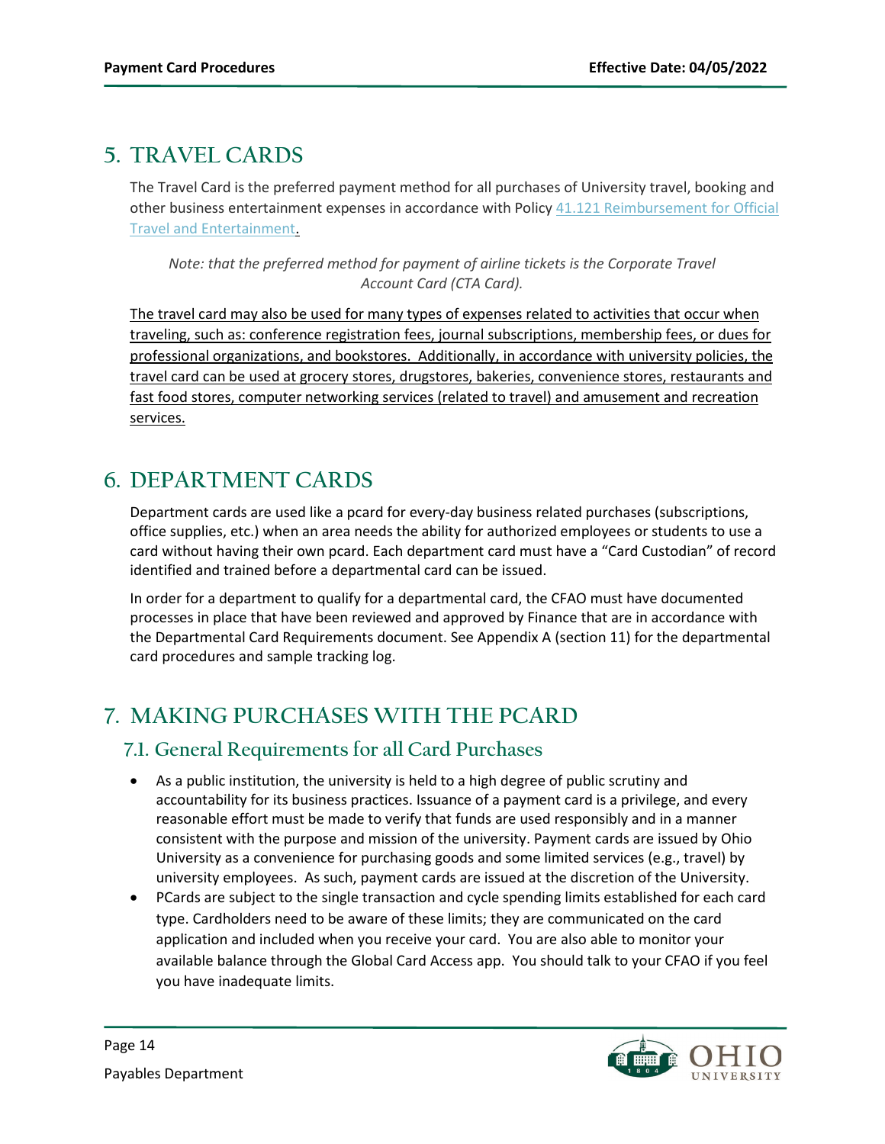# <span id="page-13-0"></span>**5. TRAVEL CARDS**

The Travel Card is the preferred payment method for all purchases of University travel, booking and other business entertainment expenses in accordance with Policy [41.121 Reimbursement for Official](https://www.ohio.edu/policy/41-121)  [Travel and Entertainment.](https://www.ohio.edu/policy/41-121)

*Note: that the preferred method for payment of airline tickets is the Corporate Travel Account Card (CTA Card).* 

The travel card may also be used for many types of expenses related to activities that occur when traveling, such as: conference registration fees, journal subscriptions, membership fees, or dues for professional organizations, and bookstores. Additionally, in accordance with university policies, the travel card can be used at grocery stores, drugstores, bakeries, convenience stores, restaurants and fast food stores, computer networking services (related to travel) and amusement and recreation services.

# <span id="page-13-1"></span>**6. DEPARTMENT CARDS**

Department cards are used like a pcard for every-day business related purchases (subscriptions, office supplies, etc.) when an area needs the ability for authorized employees or students to use a card without having their own pcard. Each department card must have a "Card Custodian" of record identified and trained before a departmental card can be issued.

In order for a department to qualify for a departmental card, the CFAO must have documented processes in place that have been reviewed and approved by Finance that are in accordance with the Departmental Card Requirements document. See Appendix A (section [11\)](#page-26-0) for the departmental card procedures and sample tracking log.

# <span id="page-13-2"></span>**7. MAKING PURCHASES WITH THE PCARD**

## <span id="page-13-3"></span>**7.1. General Requirements for all Card Purchases**

- As a public institution, the university is held to a high degree of public scrutiny and accountability for its business practices. Issuance of a payment card is a privilege, and every reasonable effort must be made to verify that funds are used responsibly and in a manner consistent with the purpose and mission of the university. Payment cards are issued by Ohio University as a convenience for purchasing goods and some limited services (e.g., travel) by university employees. As such, payment cards are issued at the discretion of the University.
- PCards are subject to the single transaction and cycle spending limits established for each card type. Cardholders need to be aware of these limits; they are communicated on the card application and included when you receive your card. You are also able to monitor your available balance through the Global Card Access app. You should talk to your CFAO if you feel you have inadequate limits.

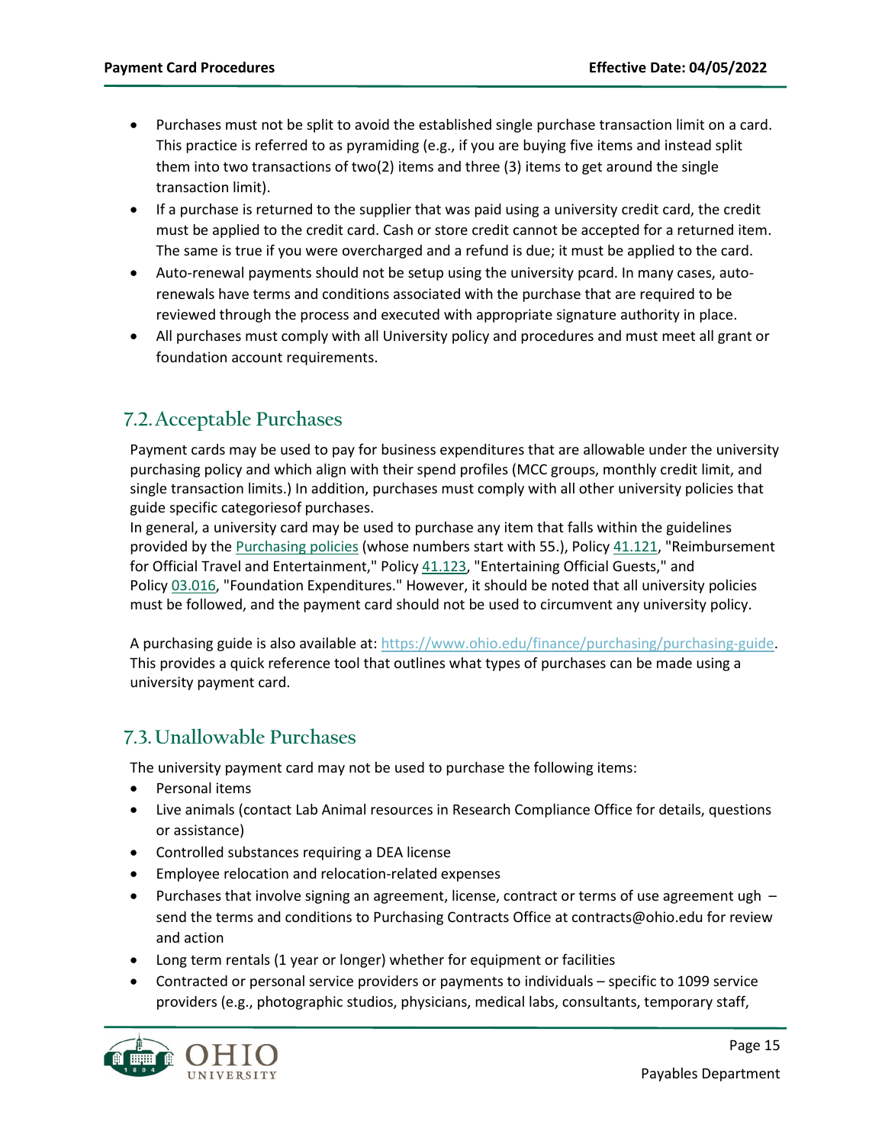- Purchases must not be split to avoid the established single purchase transaction limit on a card. This practice is referred to as pyramiding (e.g., if you are buying five items and instead split them into two transactions of two(2) items and three (3) items to get around the single transaction limit).
- If a purchase is returned to the supplier that was paid using a university credit card, the credit must be applied to the credit card. Cash or store credit cannot be accepted for a returned item. The same is true if you were overcharged and a refund is due; it must be applied to the card.
- Auto-renewal payments should not be setup using the university pcard. In many cases, autorenewals have terms and conditions associated with the purchase that are required to be reviewed through the process and executed with appropriate signature authority in place.
- All purchases must comply with all University policy and procedures and must meet all grant or foundation account requirements.

## <span id="page-14-0"></span>**7.2.Acceptable Purchases**

Payment cards may be used to pay for business expenditures that are allowable under the university purchasing policy and which align with their spend profiles (MCC groups, monthly credit limit, and single transaction limits.) In addition, purchases must comply with all other university policies that guide specific categoriesof purchases.

In general, a university card may be used to purchase any item that falls within the guidelines provided by the [Purchasing policies](https://www.ohio.edu/policy/numeric#BUSINESS) (whose numbers start with 55.), Policy [41.121,](https://www.ohio.edu/policy/41-121) "Reimbursement for Official Travel and Entertainment," Policy [41.123,](https://www.ohio.edu/policy/41-123.html) "Entertaining Official Guests," and Policy [03.016,](https://www.ohio.edu/policy/03-016) "Foundation Expenditures." However, it should be noted that all university policies must be followed, and the payment card should not be used to circumvent any university policy.

A purchasing guide is also available at[: https://www.ohio.edu/finance/purchasing/purchasing-guide.](https://www.ohio.edu/finance/purchasing/purchasing-guide) This provides a quick reference tool that outlines what types of purchases can be made using a university payment card.

## <span id="page-14-1"></span>**7.3.Unallowable Purchases**

The university payment card may not be used to purchase the following items:

- Personal items
- Live animals (contact Lab Animal resources in Research Compliance Office for details, questions or assistance)
- Controlled substances requiring a DEA license
- Employee relocation and relocation-related expenses
- Purchases that involve signing an agreement, license, contract or terms of use agreement ugh send the terms and conditions to Purchasing Contracts Office at contracts@ohio.edu for review and action
- Long term rentals (1 year or longer) whether for equipment or facilities
- Contracted or personal service providers or payments to individuals specific to 1099 service providers (e.g., photographic studios, physicians, medical labs, consultants, temporary staff,

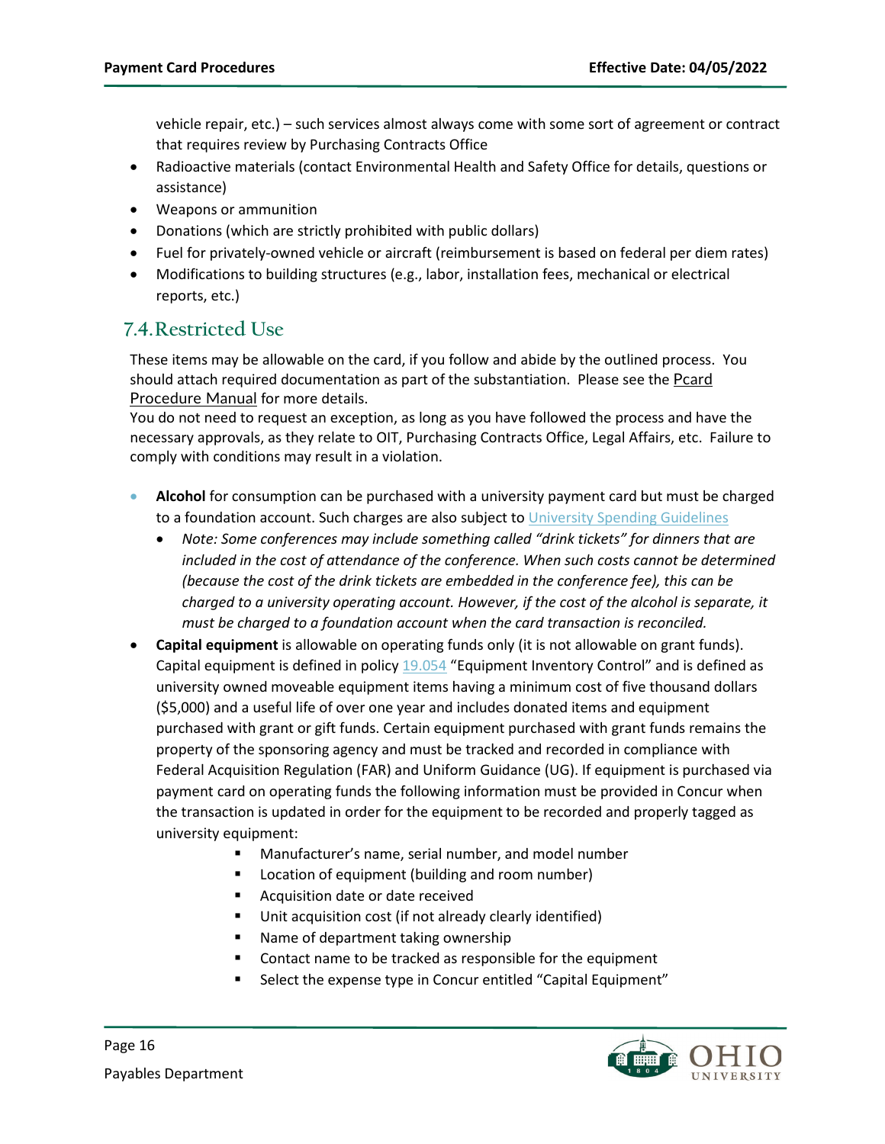vehicle repair, etc.) – such services almost always come with some sort of agreement or contract that requires review by Purchasing Contracts Office

- Radioactive materials (contact Environmental Health and Safety Office for details, questions or assistance)
- Weapons or ammunition
- Donations (which are strictly prohibited with public dollars)
- Fuel for privately-owned vehicle or aircraft (reimbursement is based on federal per diem rates)
- Modifications to building structures (e.g., labor, installation fees, mechanical or electrical reports, etc.)

### <span id="page-15-0"></span>**7.4.Restricted Use**

These items may be allowable on the card, if you follow and abide by the outlined process. You should attach required documentation as part of the substantiation. Please see the [Pcard](https://www.ohio.edu/sites/default/files/sites/finance/PCard/pcard_procedures_manual.pdf) [Procedure](https://www.ohio.edu/sites/default/files/sites/finance/PCard/pcard_procedures_manual.pdf) Manual for more details.

You do not need to request an exception, as long as you have followed the process and have the necessary approvals, as they relate to OIT, Purchasing Contracts Office, Legal Affairs, etc. Failure to comply with conditions may result in a violation.

- **Alcohol** for consumption can be purchased with a university payment card but must be charged to a foundation account. Such charges are also subject t[o University Spending Guidelines](https://www.ohio.edu/sites/default/files/sites/finance/purchasing/files/University_Spending_Guidelines.pdf)
	- *Note: Some conferences may include something called "drink tickets" for dinners that are included in the cost of attendance of the conference. When such costs cannot be determined (because the cost of the drink tickets are embedded in the conference fee), this can be charged to a university operating account. However, if the cost of the alcohol is separate, it must be charged to a foundation account when the card transaction is reconciled.*
- **Capital equipment** is allowable on operating funds only (it is not allowable on grant funds). Capital equipment is defined in polic[y 19.054](https://www.ohio.edu/policy/19-054) "Equipment Inventory Control" and is defined as university owned moveable equipment items having a minimum cost of five thousand dollars (\$5,000) and a useful life of over one year and includes donated items and equipment purchased with grant or gift funds. Certain equipment purchased with grant funds remains the property of the sponsoring agency and must be tracked and recorded in compliance with Federal Acquisition Regulation (FAR) and Uniform Guidance (UG). If equipment is purchased via payment card on operating funds the following information must be provided in Concur when the transaction is updated in order for the equipment to be recorded and properly tagged as university equipment:
	- Manufacturer's name, serial number, and model number
	- Location of equipment (building and room number)
	- **Acquisition date or date received**
	- Unit acquisition cost (if not already clearly identified)
	- Name of department taking ownership
	- Contact name to be tracked as responsible for the equipment
	- Select the expense type in Concur entitled "Capital Equipment"

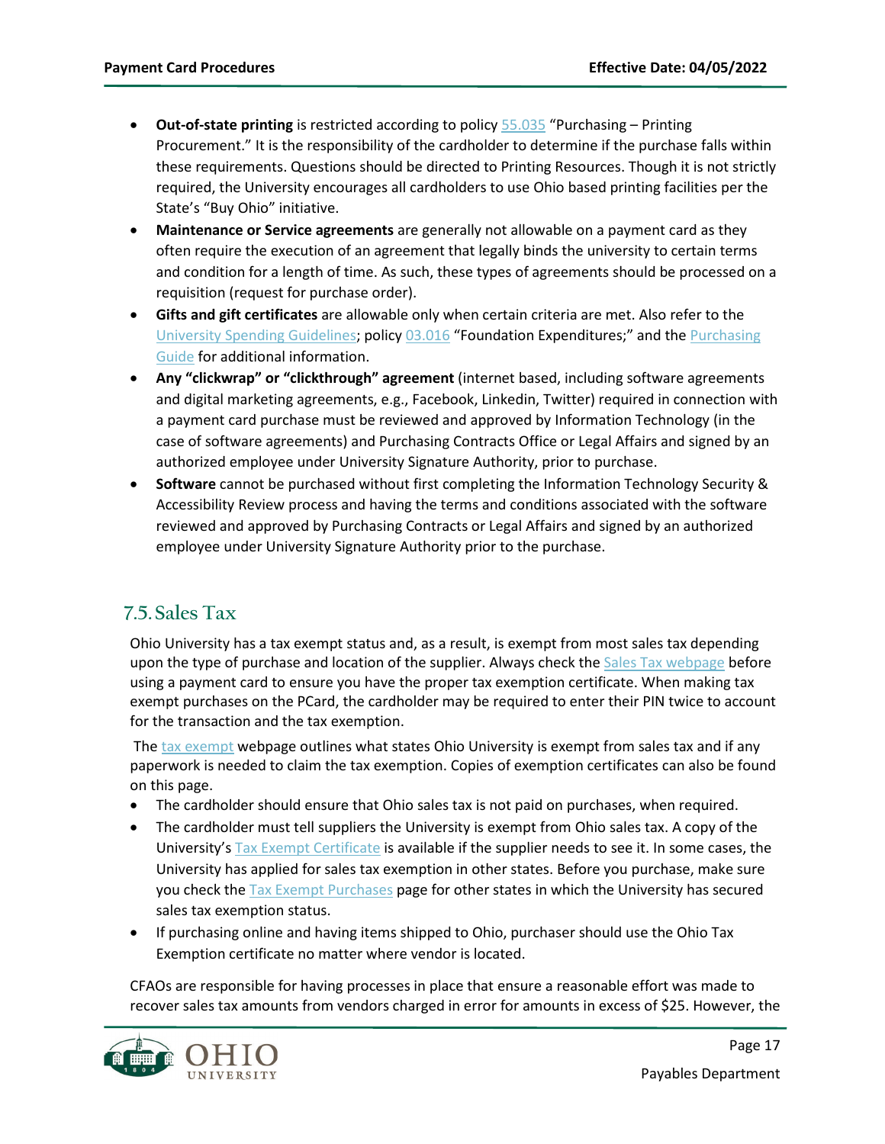- **Out-of-state printing** is restricted according to policy [55.035](file://shared.ohio.edu/administration/finance-controller/Pcard/Purchasing%20-%20Printing%20Procurement) "Purchasing Printing Procurement." It is the responsibility of the cardholder to determine if the purchase falls within these requirements. Questions should be directed to Printing Resources. Though it is not strictly required, the University encourages all cardholders to use Ohio based printing facilities per the State's "Buy Ohio" initiative.
- **Maintenance or Service agreements** are generally not allowable on a payment card as they often require the execution of an agreement that legally binds the university to certain terms and condition for a length of time. As such, these types of agreements should be processed on a requisition (request for purchase order).
- **Gifts and gift certificates** are allowable only when certain criteria are met. Also refer to the [University Spending Guidelines;](https://www.ohio.edu/sites/default/files/sites/finance/purchasing/files/University_Spending_Guidelines.pdf) polic[y 03.016](https://www.ohio.edu/policy/03-016) "Foundation Expenditures;" and th[e Purchasing](https://www.ohio.edu/finance/purchasing/purchasing-guide)  [Guide](https://www.ohio.edu/finance/purchasing/purchasing-guide) for additional information.
- **Any "clickwrap" or "clickthrough" agreement** (internet based, including software agreements and digital marketing agreements, e.g., Facebook, Linkedin, Twitter) required in connection with a payment card purchase must be reviewed and approved by Information Technology (in the case of software agreements) and Purchasing Contracts Office or Legal Affairs and signed by an authorized employee under University Signature Authority, prior to purchase.
- **Software** cannot be purchased without first completing the Information Technology Security & Accessibility Review process and having the terms and conditions associated with the software reviewed and approved by Purchasing Contracts or Legal Affairs and signed by an authorized employee under University Signature Authority prior to the purchase.

# <span id="page-16-0"></span>**7.5.Sales Tax**

Ohio University has a tax exempt status and, as a result, is exempt from most sales tax depending upon the type of purchase and location of the supplier. Always check the [Sales Tax webpage](https://www.ohio.edu/finance/purchasing/tax-exempt-purchases) before using a payment card to ensure you have the proper tax exemption certificate. When making tax exempt purchases on the PCard, the cardholder may be required to enter their PIN twice to account for the transaction and the tax exemption.

Th[e tax exempt](https://www.ohio.edu/finance/purchasing/tax-exempt-purchases) webpage outlines what states Ohio University is exempt from sales tax and if any paperwork is needed to claim the tax exemption. Copies of exemption certificates can also be found on this page.

- The cardholder should ensure that Ohio sales tax is not paid on purchases, when required.
- The cardholder must tell suppliers the University is exempt from Ohio sales tax. A copy of the University'[s Tax Exempt Certificate](https://www.ohio.edu/finance/purchasing/tax-exempt-purchases) is available if the supplier needs to see it. In some cases, the University has applied for sales tax exemption in other states. Before you purchase, make sure you check th[e Tax Exempt Purchases](https://www.ohio.edu/finance/purchasing/tax-exempt-purchases) page for other states in which the University has secured sales tax exemption status.
- If purchasing online and having items shipped to Ohio, purchaser should use the Ohio Tax Exemption certificate no matter where vendor is located.

CFAOs are responsible for having processes in place that ensure a reasonable effort was made to recover sales tax amounts from vendors charged in error for amounts in excess of \$25. However, the

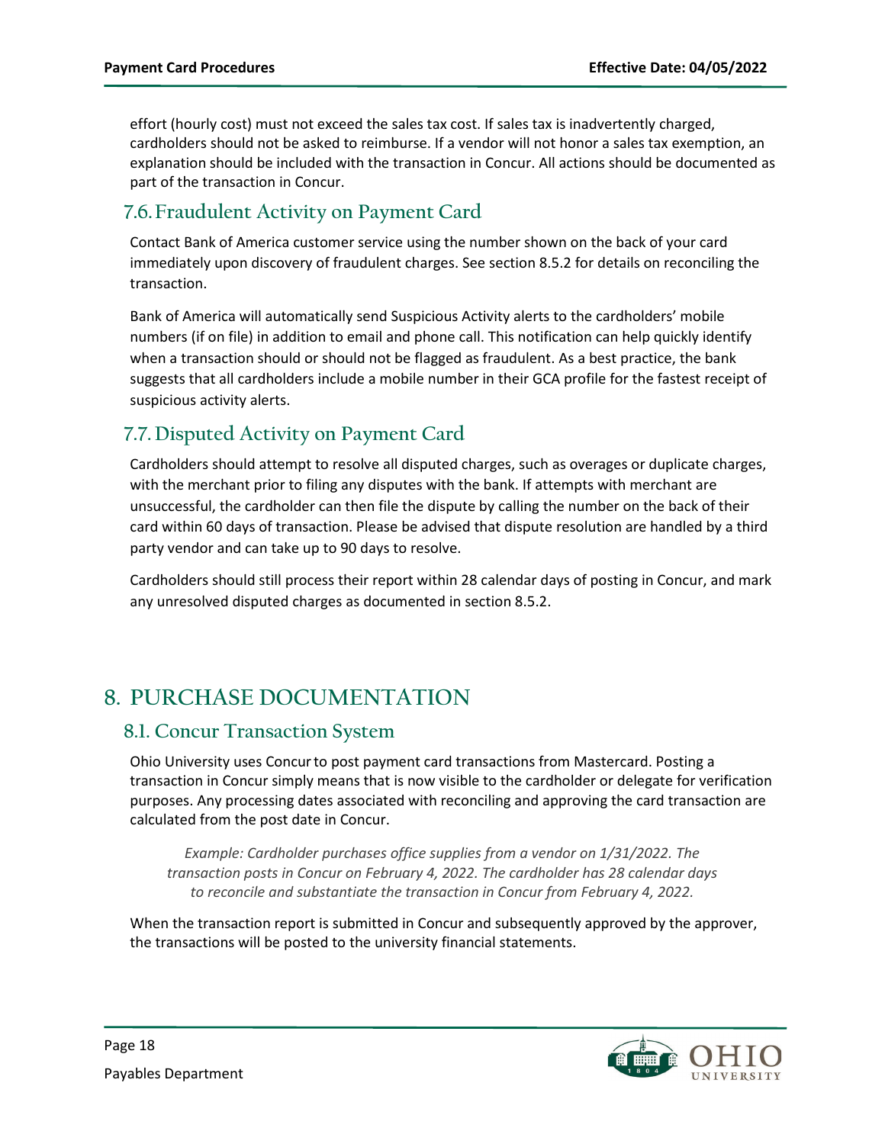effort (hourly cost) must not exceed the sales tax cost. If sales tax is inadvertently charged, cardholders should not be asked to reimburse. If a vendor will not honor a sales tax exemption, an explanation should be included with the transaction in Concur. All actions should be documented as part of the transaction in Concur.

### <span id="page-17-0"></span>**7.6.Fraudulent Activity on Payment Card**

Contact Bank of America customer service using the number shown on the back of your card immediately upon discovery of fraudulent charges. See section 8.5.2 for details on reconciling the transaction.

Bank of America will automatically send Suspicious Activity alerts to the cardholders' mobile numbers (if on file) in addition to email and phone call. This notification can help quickly identify when a transaction should or should not be flagged as fraudulent. As a best practice, the bank suggests that all cardholders include a mobile number in their GCA profile for the fastest receipt of suspicious activity alerts.

## <span id="page-17-1"></span>**7.7. Disputed Activity on Payment Card**

Cardholders should attempt to resolve all disputed charges, such as overages or duplicate charges, with the merchant prior to filing any disputes with the bank. If attempts with merchant are unsuccessful, the cardholder can then file the dispute by calling the number on the back of their card within 60 days of transaction. Please be advised that dispute resolution are handled by a third party vendor and can take up to 90 days to resolve.

Cardholders should still process their report within 28 calendar days of posting in Concur, and mark any unresolved disputed charges as documented in section 8.5.2.

# <span id="page-17-2"></span>**8. PURCHASE DOCUMENTATION**

### <span id="page-17-3"></span>**8.1. Concur Transaction System**

Ohio University uses Concurto post payment card transactions from Mastercard. Posting a transaction in Concur simply means that is now visible to the cardholder or delegate for verification purposes. Any processing dates associated with reconciling and approving the card transaction are calculated from the post date in Concur.

*Example: Cardholder purchases office supplies from a vendor on 1/31/2022. The transaction posts in Concur on February 4, 2022. The cardholder has 28 calendar days to reconcile and substantiate the transaction in Concur from February 4, 2022.*

When the transaction report is submitted in Concur and subsequently approved by the approver, the transactions will be posted to the university financial statements.

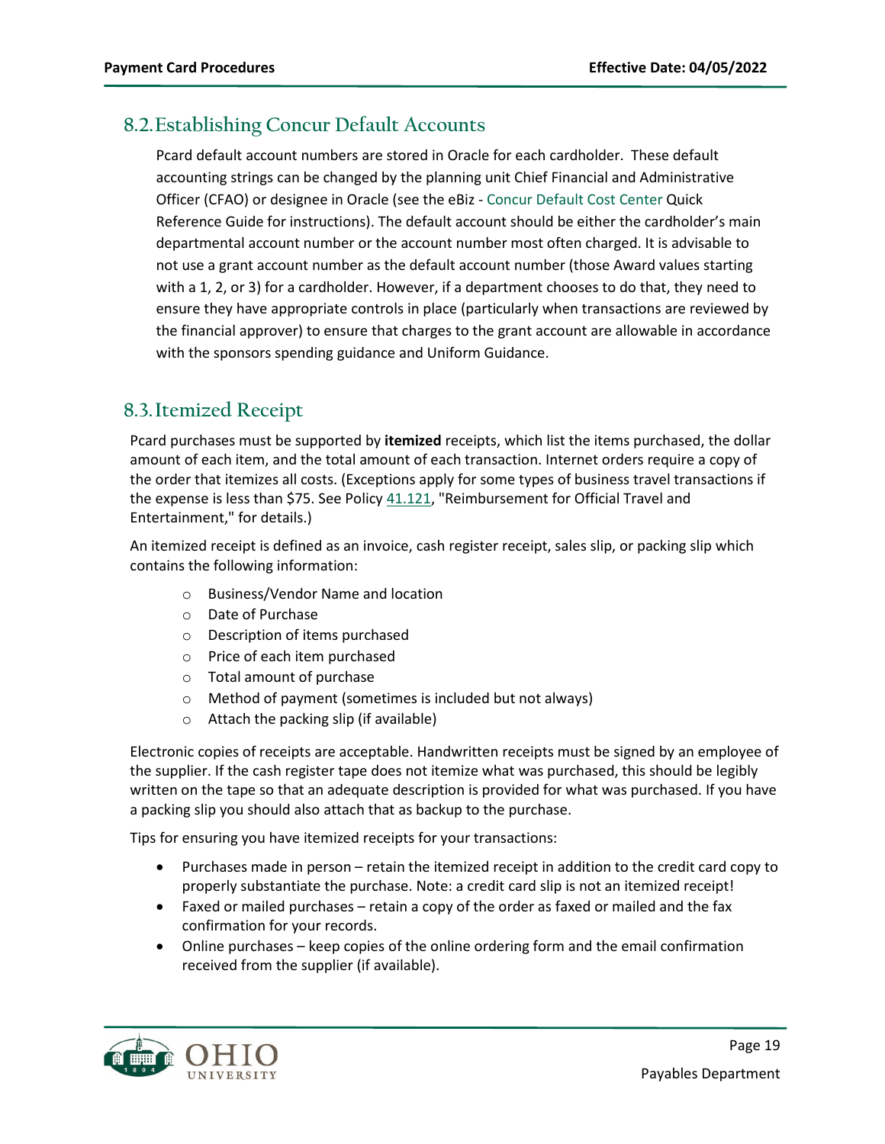### <span id="page-18-0"></span>**8.2.Establishing Concur Default Accounts**

Pcard default account numbers are stored in Oracle for each cardholder. These default accounting strings can be changed by the planning unit Chief Financial and Administrative Officer (CFAO) or designee in Oracle (see the eBiz - [Concur Default Cost Center](https://www.ohio.edu/sites/default/files/sites/finance/systems/files/Concur_Default_Cost_Centers.pdf) Quick Reference Guide for instructions). The default account should be either the cardholder's main departmental account number or the account number most often charged. It is advisable to not use a grant account number as the default account number (those Award values starting with a 1, 2, or 3) for a cardholder. However, if a department chooses to do that, they need to ensure they have appropriate controls in place (particularly when transactions are reviewed by the financial approver) to ensure that charges to the grant account are allowable in accordance with the sponsors spending guidance and Uniform Guidance.

### <span id="page-18-1"></span>**8.3.Itemized Receipt**

Pcard purchases must be supported by **itemized** receipts, which list the items purchased, the dollar amount of each item, and the total amount of each transaction. Internet orders require a copy of the order that itemizes all costs. (Exceptions apply for some types of business travel transactions if the expense is less than \$75. See Policy  $41.121$ , "Reimbursement for Official Travel and Entertainment," for details.)

An itemized receipt is defined as an invoice, cash register receipt, sales slip, or packing slip which contains the following information:

- o Business/Vendor Name and location
- o Date of Purchase
- o Description of items purchased
- o Price of each item purchased
- o Total amount of purchase
- o Method of payment (sometimes is included but not always)
- o Attach the packing slip (if available)

Electronic copies of receipts are acceptable. Handwritten receipts must be signed by an employee of the supplier. If the cash register tape does not itemize what was purchased, this should be legibly written on the tape so that an adequate description is provided for what was purchased. If you have a packing slip you should also attach that as backup to the purchase.

Tips for ensuring you have itemized receipts for your transactions:

- Purchases made in person retain the itemized receipt in addition to the credit card copy to properly substantiate the purchase. Note: a credit card slip is not an itemized receipt!
- Faxed or mailed purchases retain a copy of the order as faxed or mailed and the fax confirmation for your records.
- Online purchases keep copies of the online ordering form and the email confirmation received from the supplier (if available).

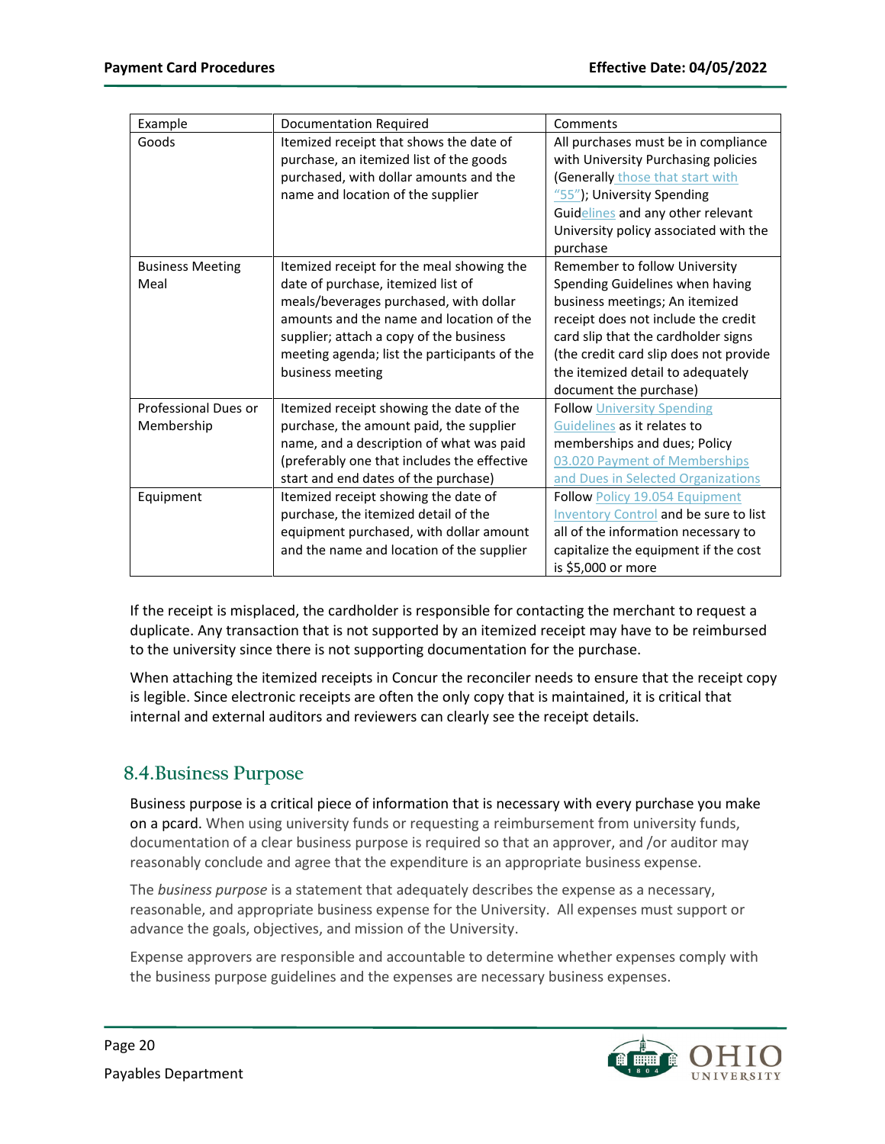| Example                 | Documentation Required                       | Comments                                     |  |  |  |  |
|-------------------------|----------------------------------------------|----------------------------------------------|--|--|--|--|
| Goods                   | Itemized receipt that shows the date of      | All purchases must be in compliance          |  |  |  |  |
|                         | purchase, an itemized list of the goods      | with University Purchasing policies          |  |  |  |  |
|                         | purchased, with dollar amounts and the       | (Generally those that start with             |  |  |  |  |
|                         | name and location of the supplier            | "55"); University Spending                   |  |  |  |  |
|                         |                                              | Guidelines and any other relevant            |  |  |  |  |
|                         |                                              | University policy associated with the        |  |  |  |  |
|                         |                                              | purchase                                     |  |  |  |  |
| <b>Business Meeting</b> | Itemized receipt for the meal showing the    | Remember to follow University                |  |  |  |  |
| Meal                    | date of purchase, itemized list of           | Spending Guidelines when having              |  |  |  |  |
|                         | meals/beverages purchased, with dollar       | business meetings; An itemized               |  |  |  |  |
|                         | amounts and the name and location of the     | receipt does not include the credit          |  |  |  |  |
|                         | supplier; attach a copy of the business      | card slip that the cardholder signs          |  |  |  |  |
|                         | meeting agenda; list the participants of the | (the credit card slip does not provide       |  |  |  |  |
|                         | business meeting                             | the itemized detail to adequately            |  |  |  |  |
|                         |                                              | document the purchase)                       |  |  |  |  |
| Professional Dues or    | Itemized receipt showing the date of the     | <b>Follow University Spending</b>            |  |  |  |  |
| Membership              | purchase, the amount paid, the supplier      | Guidelines as it relates to                  |  |  |  |  |
|                         | name, and a description of what was paid     | memberships and dues; Policy                 |  |  |  |  |
|                         | (preferably one that includes the effective  | 03.020 Payment of Memberships                |  |  |  |  |
|                         | start and end dates of the purchase)         | and Dues in Selected Organizations           |  |  |  |  |
| Equipment               | Itemized receipt showing the date of         | Follow Policy 19.054 Equipment               |  |  |  |  |
|                         | purchase, the itemized detail of the         | <b>Inventory Control and be sure to list</b> |  |  |  |  |
|                         | equipment purchased, with dollar amount      | all of the information necessary to          |  |  |  |  |
|                         | and the name and location of the supplier    | capitalize the equipment if the cost         |  |  |  |  |
|                         |                                              | is \$5,000 or more                           |  |  |  |  |

If the receipt is misplaced, the cardholder is responsible for contacting the merchant to request a duplicate. Any transaction that is not supported by an itemized receipt may have to be reimbursed to the university since there is not supporting documentation for the purchase.

When attaching the itemized receipts in Concur the reconciler needs to ensure that the receipt copy is legible. Since electronic receipts are often the only copy that is maintained, it is critical that internal and external auditors and reviewers can clearly see the receipt details.

## <span id="page-19-0"></span>**8.4.Business Purpose**

Business purpose is a critical piece of information that is necessary with every purchase you make on a pcard. When using university funds or requesting a reimbursement from university funds, documentation of a clear business purpose is required so that an approver, and /or auditor may reasonably conclude and agree that the expenditure is an appropriate business expense.

The *business purpose* is a statement that adequately describes the expense as a necessary, reasonable, and appropriate business expense for the University. All expenses must support or advance the goals, objectives, and mission of the University.

Expense approvers are responsible and accountable to determine whether expenses comply with the business purpose guidelines and the expenses are necessary business expenses.

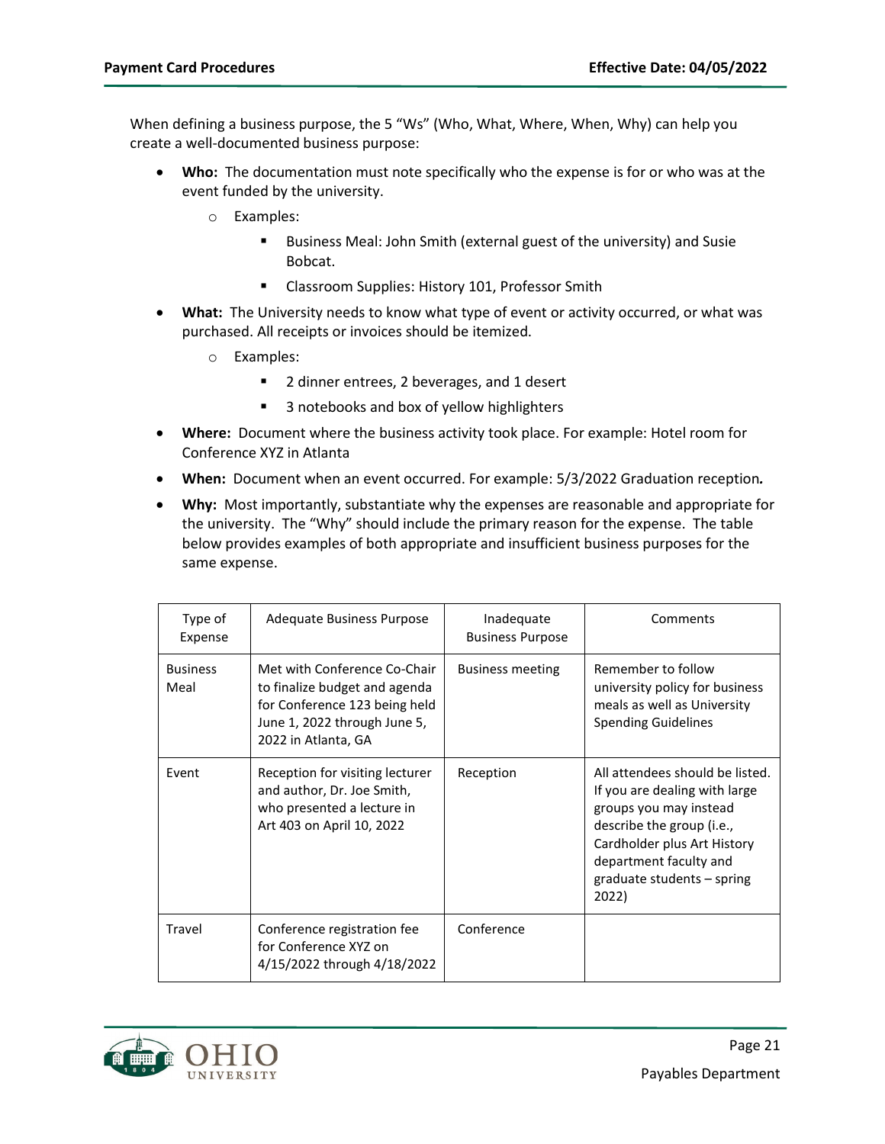When defining a business purpose, the 5 "Ws" (Who, What, Where, When, Why) can help you create a well-documented business purpose:

- **Who:** The documentation must note specifically who the expense is for or who was at the event funded by the university.
	- o Examples:
		- **Business Meal: John Smith (external guest of the university) and Susie** Bobcat.
		- **E** Classroom Supplies: History 101, Professor Smith
- **What:** The University needs to know what type of event or activity occurred, or what was purchased. All receipts or invoices should be itemized.
	- o Examples:
		- 2 dinner entrees, 2 beverages, and 1 desert
		- 3 notebooks and box of yellow highlighters
- **Where:** Document where the business activity took place. For example: Hotel room for Conference XYZ in Atlanta
- **When:** Document when an event occurred. For example: 5/3/2022 Graduation reception*.*
- **Why:** Most importantly, substantiate why the expenses are reasonable and appropriate for the university. The "Why" should include the primary reason for the expense. The table below provides examples of both appropriate and insufficient business purposes for the same expense.

| Type of<br>Expense      | Adequate Business Purpose                                                                                                                             | Inadequate<br><b>Business Purpose</b> | Comments                                                                                                                                                                                                                |
|-------------------------|-------------------------------------------------------------------------------------------------------------------------------------------------------|---------------------------------------|-------------------------------------------------------------------------------------------------------------------------------------------------------------------------------------------------------------------------|
| <b>Business</b><br>Meal | Met with Conference Co-Chair<br>to finalize budget and agenda<br>for Conference 123 being held<br>June 1, 2022 through June 5,<br>2022 in Atlanta, GA | <b>Business meeting</b>               | Remember to follow<br>university policy for business<br>meals as well as University<br><b>Spending Guidelines</b>                                                                                                       |
| Fvent                   | Reception for visiting lecturer<br>and author, Dr. Joe Smith,<br>who presented a lecture in<br>Art 403 on April 10, 2022                              | Reception                             | All attendees should be listed.<br>If you are dealing with large<br>groups you may instead<br>describe the group (i.e.,<br>Cardholder plus Art History<br>department faculty and<br>graduate students - spring<br>2022) |
| Travel                  | Conference registration fee<br>for Conference XYZ on<br>4/15/2022 through 4/18/2022                                                                   | Conference                            |                                                                                                                                                                                                                         |

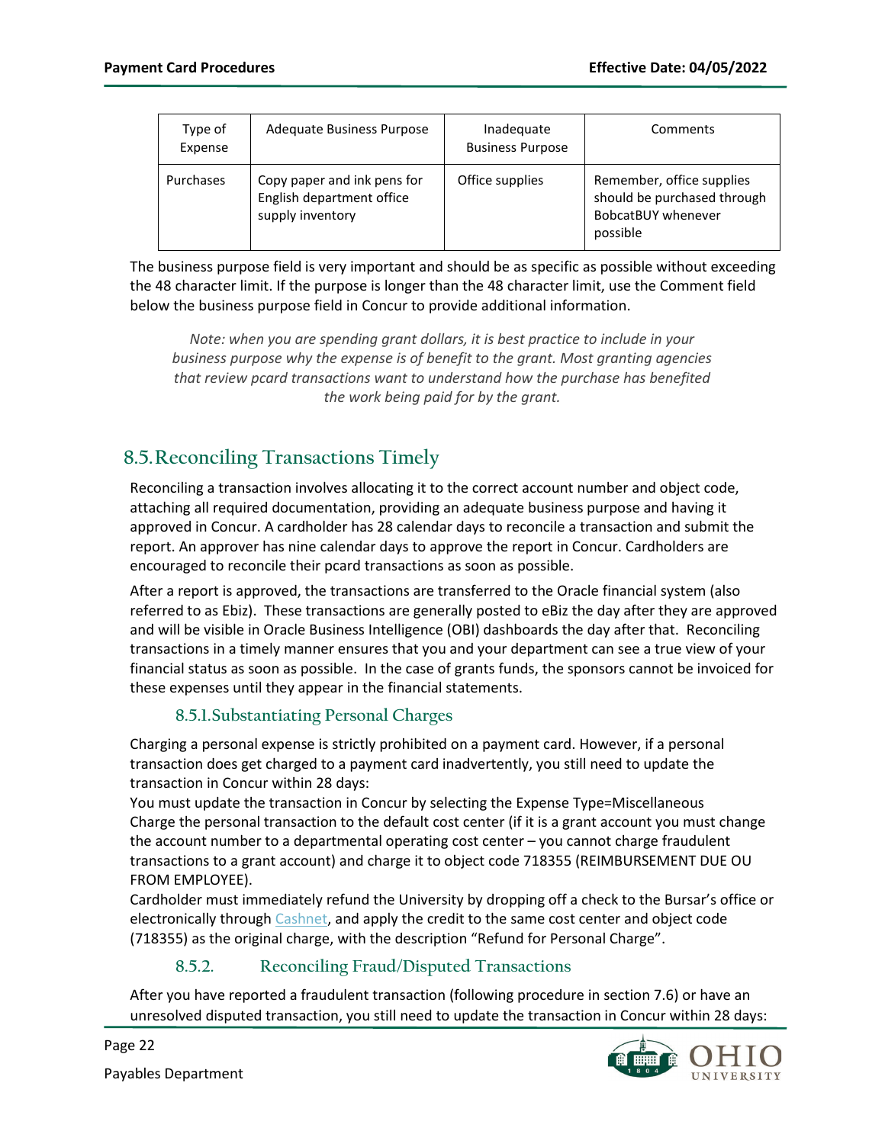| Type of<br>Expense | Adequate Business Purpose                                                    | Inadequate<br><b>Business Purpose</b> | Comments                                                                                   |
|--------------------|------------------------------------------------------------------------------|---------------------------------------|--------------------------------------------------------------------------------------------|
| Purchases          | Copy paper and ink pens for<br>English department office<br>supply inventory | Office supplies                       | Remember, office supplies<br>should be purchased through<br>BobcatBUY whenever<br>possible |

The business purpose field is very important and should be as specific as possible without exceeding the 48 character limit. If the purpose is longer than the 48 character limit, use the Comment field below the business purpose field in Concur to provide additional information.

*Note: when you are spending grant dollars, it is best practice to include in your business purpose why the expense is of benefit to the grant. Most granting agencies that review pcard transactions want to understand how the purchase has benefited the work being paid for by the grant.*

## <span id="page-21-0"></span>**8.5.Reconciling Transactions Timely**

Reconciling a transaction involves allocating it to the correct account number and object code, attaching all required documentation, providing an adequate business purpose and having it approved in Concur. A cardholder has 28 calendar days to reconcile a transaction and submit the report. An approver has nine calendar days to approve the report in Concur. Cardholders are encouraged to reconcile their pcard transactions as soon as possible.

After a report is approved, the transactions are transferred to the Oracle financial system (also referred to as Ebiz). These transactions are generally posted to eBiz the day after they are approved and will be visible in Oracle Business Intelligence (OBI) dashboards the day after that. Reconciling transactions in a timely manner ensures that you and your department can see a true view of your financial status as soon as possible. In the case of grants funds, the sponsors cannot be invoiced for these expenses until they appear in the financial statements.

#### **8.5.1.Substantiating Personal Charges**

<span id="page-21-1"></span>Charging a personal expense is strictly prohibited on a payment card. However, if a personal transaction does get charged to a payment card inadvertently, you still need to update the transaction in Concur within 28 days:

You must update the transaction in Concur by selecting the Expense Type=Miscellaneous Charge the personal transaction to the default cost center (if it is a grant account you must change the account number to a departmental operating cost center – you cannot charge fraudulent transactions to a grant account) and charge it to object code 718355 (REIMBURSEMENT DUE OU FROM EMPLOYEE).

Cardholder must immediately refund the University by dropping off a check to the Bursar's office or electronically throug[h Cashnet,](https://commerce.cashnet.com/ohiopcard) and apply the credit to the same cost center and object code (718355) as the original charge, with the description "Refund for Personal Charge".

#### **8.5.2. Reconciling Fraud/Disputed Transactions**

<span id="page-21-2"></span>After you have reported a fraudulent transaction (following procedure in sectio[n 7.6\)](#page-17-0) or have an unresolved disputed transaction, you still need to update the transaction in Concur within 28 days:



Page 22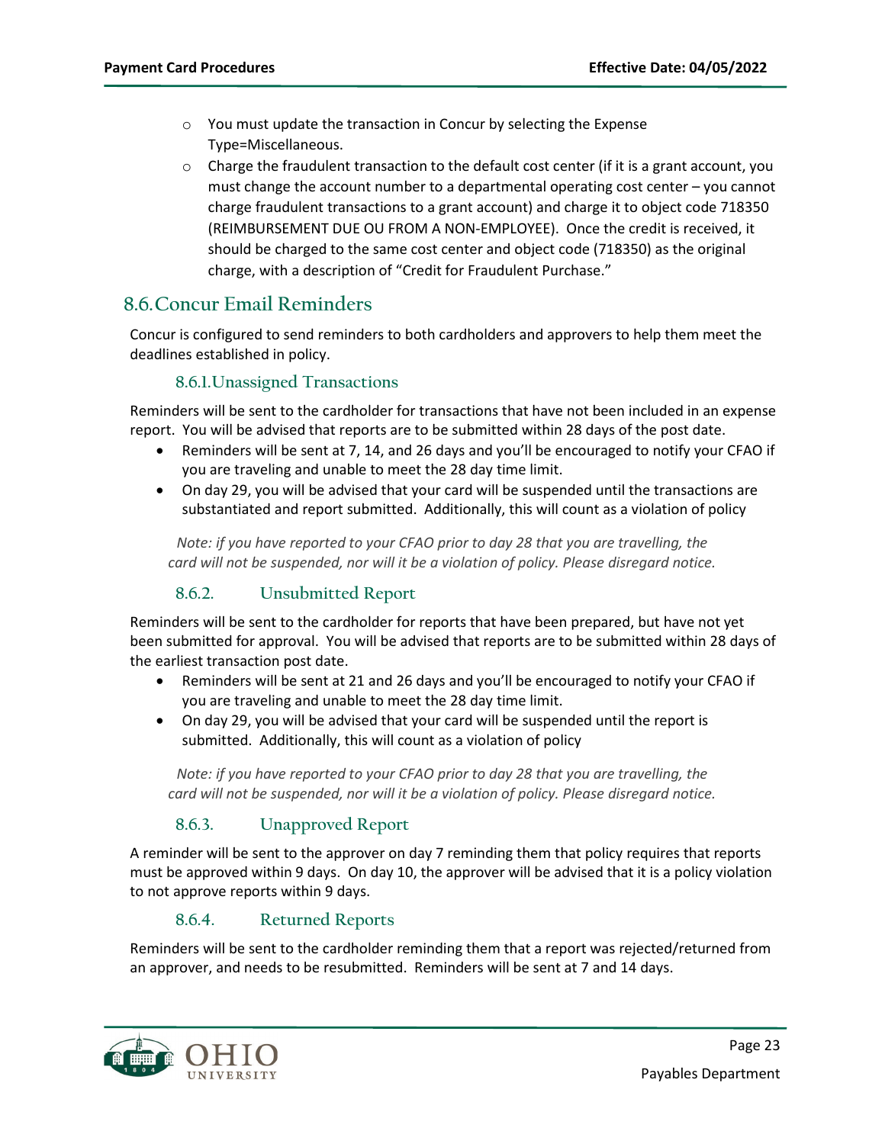- o You must update the transaction in Concur by selecting the Expense Type=Miscellaneous.
- $\circ$  Charge the fraudulent transaction to the default cost center (if it is a grant account, you must change the account number to a departmental operating cost center – you cannot charge fraudulent transactions to a grant account) and charge it to object code 718350 (REIMBURSEMENT DUE OU FROM A NON-EMPLOYEE). Once the credit is received, it should be charged to the same cost center and object code (718350) as the original charge, with a description of "Credit for Fraudulent Purchase."

### <span id="page-22-0"></span>**8.6.Concur Email Reminders**

Concur is configured to send reminders to both cardholders and approvers to help them meet the deadlines established in policy.

#### **8.6.1.Unassigned Transactions**

<span id="page-22-1"></span>Reminders will be sent to the cardholder for transactions that have not been included in an expense report. You will be advised that reports are to be submitted within 28 days of the post date.

- Reminders will be sent at 7, 14, and 26 days and you'll be encouraged to notify your CFAO if you are traveling and unable to meet the 28 day time limit.
- On day 29, you will be advised that your card will be suspended until the transactions are substantiated and report submitted. Additionally, this will count as a violation of policy

*Note: if you have reported to your CFAO prior to day 28 that you are travelling, the card will not be suspended, nor will it be a violation of policy. Please disregard notice.*

#### **8.6.2. Unsubmitted Report**

<span id="page-22-2"></span>Reminders will be sent to the cardholder for reports that have been prepared, but have not yet been submitted for approval. You will be advised that reports are to be submitted within 28 days of the earliest transaction post date.

- Reminders will be sent at 21 and 26 days and you'll be encouraged to notify your CFAO if you are traveling and unable to meet the 28 day time limit.
- On day 29, you will be advised that your card will be suspended until the report is submitted. Additionally, this will count as a violation of policy

*Note: if you have reported to your CFAO prior to day 28 that you are travelling, the card will not be suspended, nor will it be a violation of policy. Please disregard notice.*

#### **8.6.3. Unapproved Report**

<span id="page-22-3"></span>A reminder will be sent to the approver on day 7 reminding them that policy requires that reports must be approved within 9 days. On day 10, the approver will be advised that it is a policy violation to not approve reports within 9 days.

#### **8.6.4. Returned Reports**

<span id="page-22-4"></span>Reminders will be sent to the cardholder reminding them that a report was rejected/returned from an approver, and needs to be resubmitted. Reminders will be sent at 7 and 14 days.

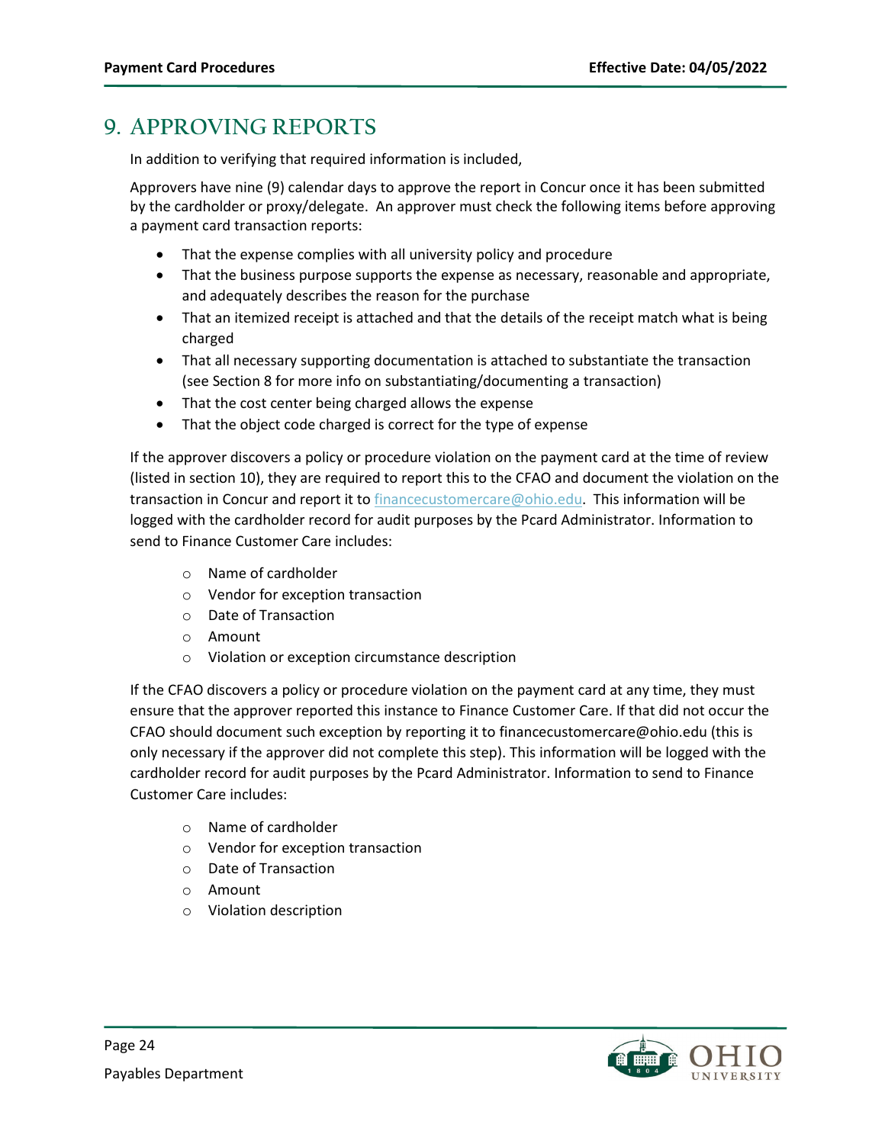# <span id="page-23-0"></span>**9. APPROVING REPORTS**

In addition to verifying that required information is included,

Approvers have nine (9) calendar days to approve the report in Concur once it has been submitted by the cardholder or proxy/delegate. An approver must check the following items before approving a payment card transaction reports:

- That the expense complies with all university policy and procedure
- That the business purpose supports the expense as necessary, reasonable and appropriate, and adequately describes the reason for the purchase
- That an itemized receipt is attached and that the details of the receipt match what is being charged
- That all necessary supporting documentation is attached to substantiate the transaction (see Sectio[n 8](#page-17-2) for more info on substantiating/documenting a transaction)
- That the cost center being charged allows the expense
- That the object code charged is correct for the type of expense

If the approver discovers a policy or procedure violation on the payment card at the time of review (listed in sectio[n 10\)](#page-24-0), they are required to report this to the CFAO and document the violation on the transaction in Concur and report it to **financecustomercare@ohio.edu.** This information will be logged with the cardholder record for audit purposes by the Pcard Administrator. Information to send to Finance Customer Care includes:

- o Name of cardholder
- o Vendor for exception transaction
- o Date of Transaction
- o Amount
- o Violation or exception circumstance description

If the CFAO discovers a policy or procedure violation on the payment card at any time, they must ensure that the approver reported this instance to Finance Customer Care. If that did not occur the CFAO should document such exception by reporting it t[o financecustomercare@ohio.edu](mailto:financecustomercare@ohio.edu) (this is only necessary if the approver did not complete this step). This information will be logged with the cardholder record for audit purposes by the Pcard Administrator. Information to send to Finance Customer Care includes:

- o Name of cardholder
- o Vendor for exception transaction
- o Date of Transaction
- o Amount
- o Violation description

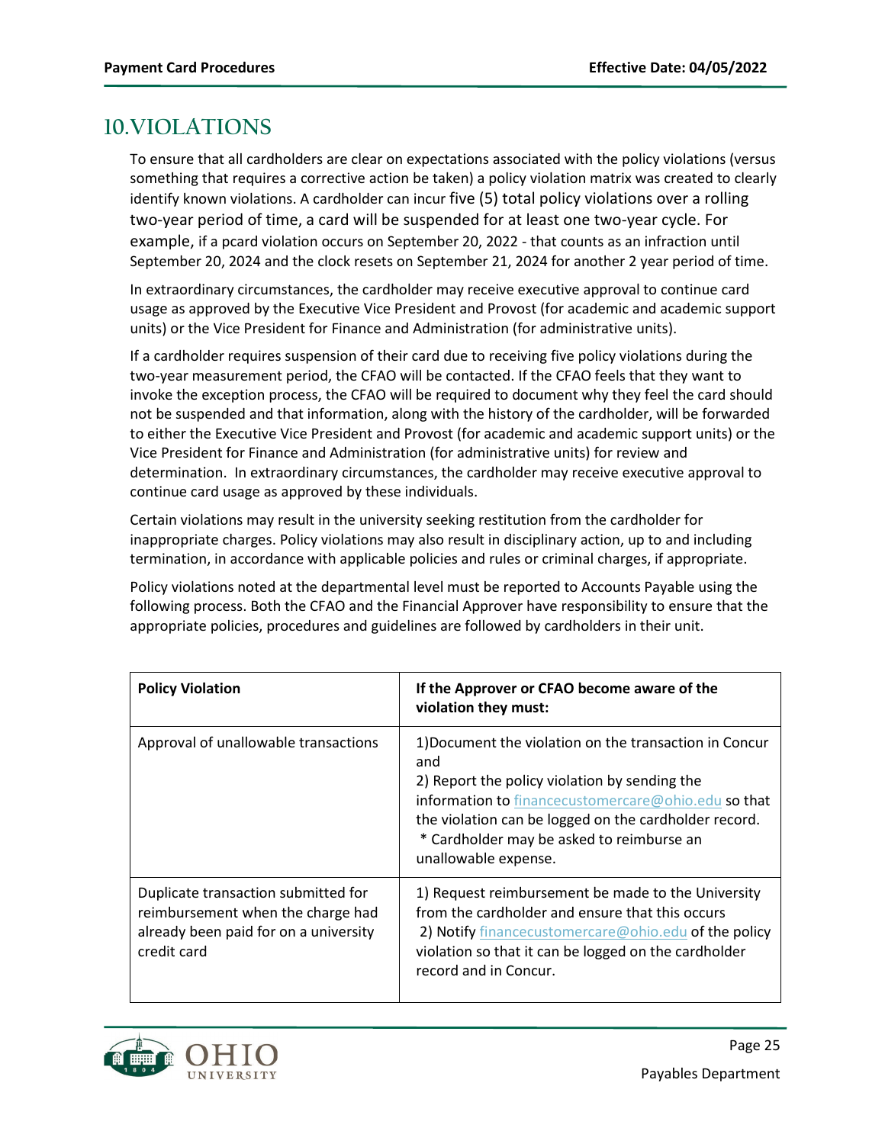# <span id="page-24-0"></span>**10.VIOLATIONS**

To ensure that all cardholders are clear on expectations associated with the policy violations (versus something that requires a corrective action be taken) a policy violation matrix was created to clearly identify known violations. A cardholder can incur five (5) total policy violations over a rolling two-year period of time, a card will be suspended for at least one two-year cycle. For example, if a pcard violation occurs on September 20, 2022 - that counts as an infraction until September 20, 2024 and the clock resets on September 21, 2024 for another 2 year period of time.

In extraordinary circumstances, the cardholder may receive executive approval to continue card usage as approved by the Executive Vice President and Provost (for academic and academic support units) or the Vice President for Finance and Administration (for administrative units).

If a cardholder requires suspension of their card due to receiving five policy violations during the two-year measurement period, the CFAO will be contacted. If the CFAO feels that they want to invoke the exception process, the CFAO will be required to document why they feel the card should not be suspended and that information, along with the history of the cardholder, will be forwarded to either the Executive Vice President and Provost (for academic and academic support units) or the Vice President for Finance and Administration (for administrative units) for review and determination. In extraordinary circumstances, the cardholder may receive executive approval to continue card usage as approved by these individuals.

Certain violations may result in the university seeking restitution from the cardholder for inappropriate charges. Policy violations may also result in disciplinary action, up to and including termination, in accordance with applicable policies and rules or criminal charges, if appropriate.

Policy violations noted at the departmental level must be reported to Accounts Payable using the following process. Both the CFAO and the Financial Approver have responsibility to ensure that the appropriate policies, procedures and guidelines are followed by cardholders in their unit.

| <b>Policy Violation</b>                                                                                                          | If the Approver or CFAO become aware of the<br>violation they must:                                                                                                                                                                                                                                 |
|----------------------------------------------------------------------------------------------------------------------------------|-----------------------------------------------------------------------------------------------------------------------------------------------------------------------------------------------------------------------------------------------------------------------------------------------------|
| Approval of unallowable transactions                                                                                             | 1) Document the violation on the transaction in Concur<br>and<br>2) Report the policy violation by sending the<br>information to financecustomercare@ohio.edu so that<br>the violation can be logged on the cardholder record.<br>* Cardholder may be asked to reimburse an<br>unallowable expense. |
| Duplicate transaction submitted for<br>reimbursement when the charge had<br>already been paid for on a university<br>credit card | 1) Request reimbursement be made to the University<br>from the cardholder and ensure that this occurs<br>2) Notify financecustomercare@ohio.edu of the policy<br>violation so that it can be logged on the cardholder<br>record and in Concur.                                                      |

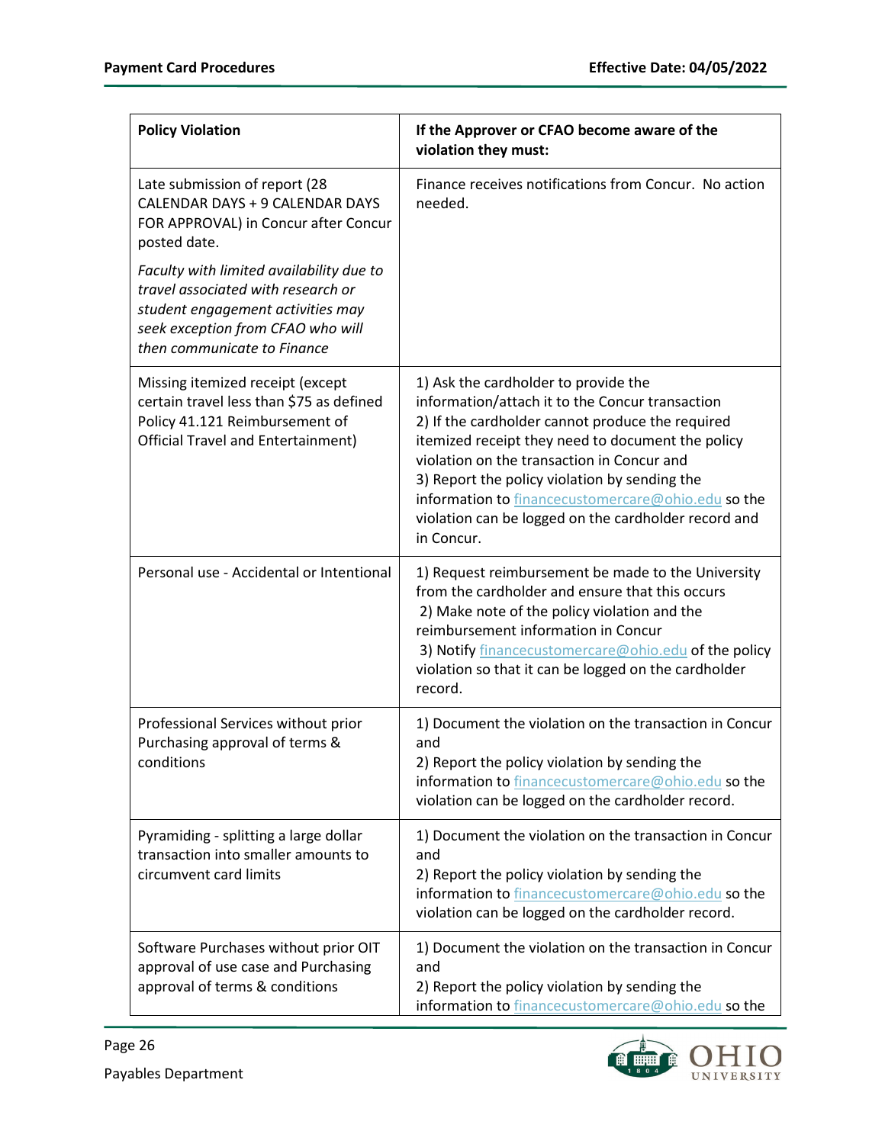| <b>Policy Violation</b>                                                                                                                                                                 | If the Approver or CFAO become aware of the<br>violation they must:                                                                                                                                                                                                                                                                                                                                                         |
|-----------------------------------------------------------------------------------------------------------------------------------------------------------------------------------------|-----------------------------------------------------------------------------------------------------------------------------------------------------------------------------------------------------------------------------------------------------------------------------------------------------------------------------------------------------------------------------------------------------------------------------|
| Late submission of report (28<br>CALENDAR DAYS + 9 CALENDAR DAYS<br>FOR APPROVAL) in Concur after Concur<br>posted date.                                                                | Finance receives notifications from Concur. No action<br>needed.                                                                                                                                                                                                                                                                                                                                                            |
| Faculty with limited availability due to<br>travel associated with research or<br>student engagement activities may<br>seek exception from CFAO who will<br>then communicate to Finance |                                                                                                                                                                                                                                                                                                                                                                                                                             |
| Missing itemized receipt (except<br>certain travel less than \$75 as defined<br>Policy 41.121 Reimbursement of<br><b>Official Travel and Entertainment)</b>                             | 1) Ask the cardholder to provide the<br>information/attach it to the Concur transaction<br>2) If the cardholder cannot produce the required<br>itemized receipt they need to document the policy<br>violation on the transaction in Concur and<br>3) Report the policy violation by sending the<br>information to financecustomercare@ohio.edu so the<br>violation can be logged on the cardholder record and<br>in Concur. |
| Personal use - Accidental or Intentional                                                                                                                                                | 1) Request reimbursement be made to the University<br>from the cardholder and ensure that this occurs<br>2) Make note of the policy violation and the<br>reimbursement information in Concur<br>3) Notify financecustomercare@ohio.edu of the policy<br>violation so that it can be logged on the cardholder<br>record.                                                                                                     |
| Professional Services without prior<br>Purchasing approval of terms &<br>conditions                                                                                                     | 1) Document the violation on the transaction in Concur<br>and<br>2) Report the policy violation by sending the<br>information to financecustomercare@ohio.edu so the<br>violation can be logged on the cardholder record.                                                                                                                                                                                                   |
| Pyramiding - splitting a large dollar<br>transaction into smaller amounts to<br>circumvent card limits                                                                                  | 1) Document the violation on the transaction in Concur<br>and<br>2) Report the policy violation by sending the<br>information to financecustomercare@ohio.edu so the<br>violation can be logged on the cardholder record.                                                                                                                                                                                                   |
| Software Purchases without prior OIT<br>approval of use case and Purchasing<br>approval of terms & conditions                                                                           | 1) Document the violation on the transaction in Concur<br>and<br>2) Report the policy violation by sending the<br>information to financecustomercare@ohio.edu so the                                                                                                                                                                                                                                                        |

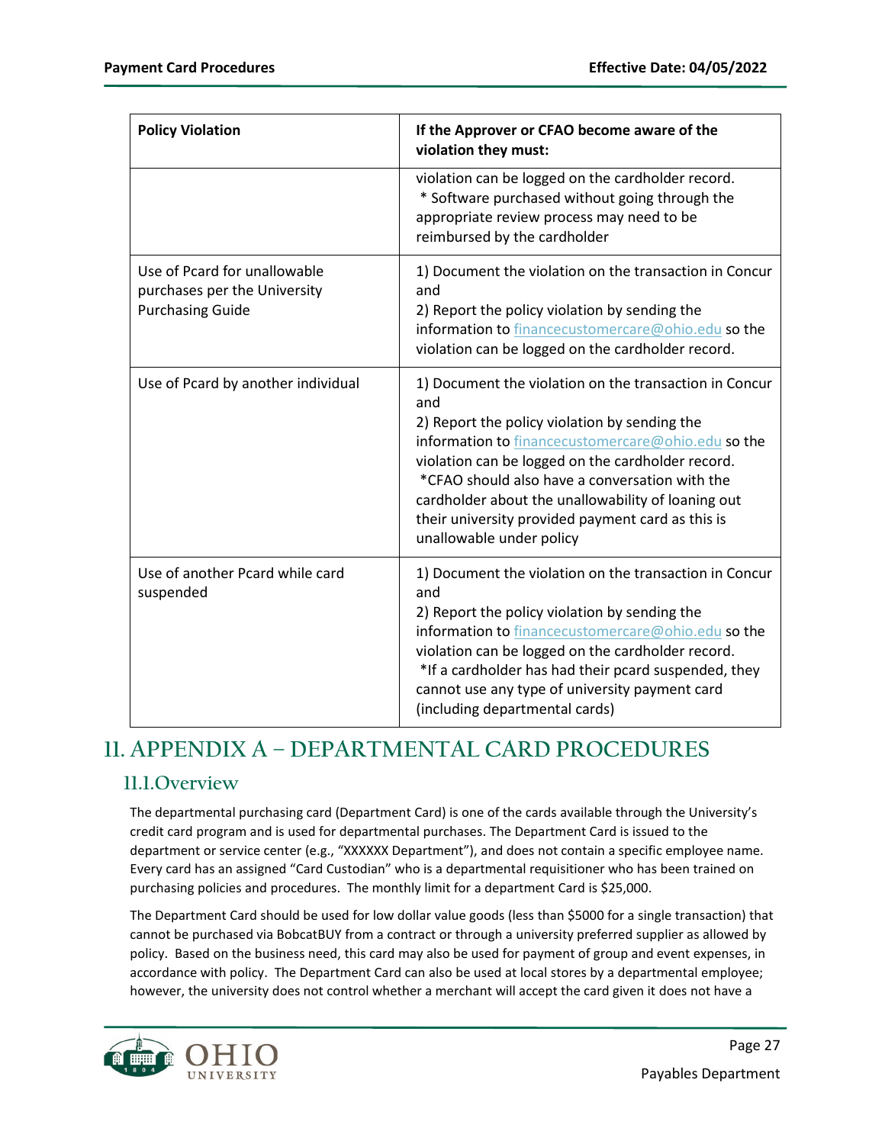| <b>Policy Violation</b>                                                                 | If the Approver or CFAO become aware of the<br>violation they must:                                                                                                                                                                                                                                                                                                                                                |  |  |  |  |
|-----------------------------------------------------------------------------------------|--------------------------------------------------------------------------------------------------------------------------------------------------------------------------------------------------------------------------------------------------------------------------------------------------------------------------------------------------------------------------------------------------------------------|--|--|--|--|
|                                                                                         | violation can be logged on the cardholder record.<br>* Software purchased without going through the<br>appropriate review process may need to be<br>reimbursed by the cardholder                                                                                                                                                                                                                                   |  |  |  |  |
| Use of Pcard for unallowable<br>purchases per the University<br><b>Purchasing Guide</b> | 1) Document the violation on the transaction in Concur<br>and<br>2) Report the policy violation by sending the<br>information to financecustomercare@ohio.edu so the<br>violation can be logged on the cardholder record.                                                                                                                                                                                          |  |  |  |  |
| Use of Pcard by another individual                                                      | 1) Document the violation on the transaction in Concur<br>and<br>2) Report the policy violation by sending the<br>information to financecustomercare@ohio.edu so the<br>violation can be logged on the cardholder record.<br>*CFAO should also have a conversation with the<br>cardholder about the unallowability of loaning out<br>their university provided payment card as this is<br>unallowable under policy |  |  |  |  |
| Use of another Pcard while card<br>suspended                                            | 1) Document the violation on the transaction in Concur<br>and<br>2) Report the policy violation by sending the<br>information to financecustomercare@ohio.edu so the<br>violation can be logged on the cardholder record.<br>*If a cardholder has had their pcard suspended, they<br>cannot use any type of university payment card<br>(including departmental cards)                                              |  |  |  |  |

# <span id="page-26-0"></span>**11. APPENDIX A – DEPARTMENTAL CARD PROCEDURES**

### <span id="page-26-1"></span>**11.1.Overview**

The departmental purchasing card (Department Card) is one of the cards available through the University's credit card program and is used for departmental purchases. The Department Card is issued to the department or service center (e.g., "XXXXXX Department"), and does not contain a specific employee name. Every card has an assigned "Card Custodian" who is a departmental requisitioner who has been trained on purchasing policies and procedures. The monthly limit for a department Card is \$25,000.

The Department Card should be used for low dollar value goods (less than \$5000 for a single transaction) that cannot be purchased via BobcatBUY from a contract or through a university preferred supplier as allowed by policy. Based on the business need, this card may also be used for payment of group and event expenses, in accordance with policy. The Department Card can also be used at local stores by a departmental employee; however, the university does not control whether a merchant will accept the card given it does not have a

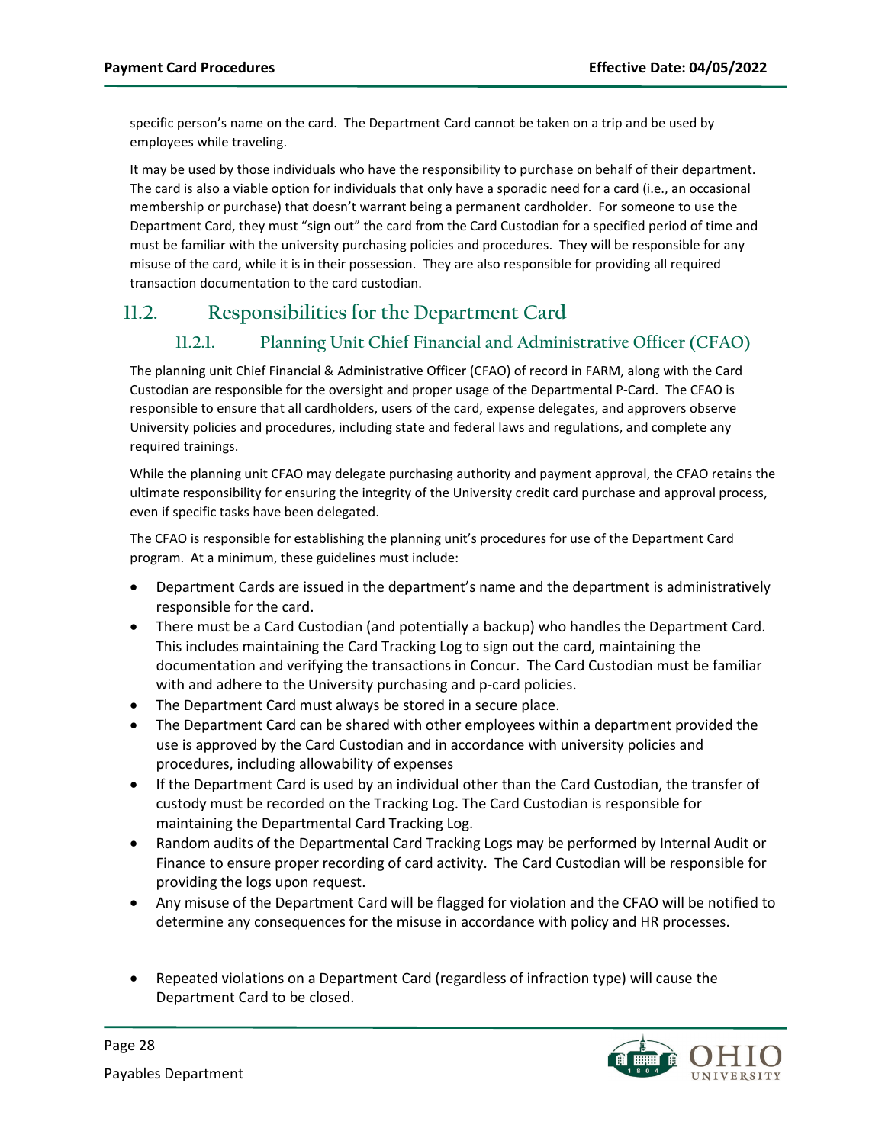specific person's name on the card. The Department Card cannot be taken on a trip and be used by employees while traveling.

It may be used by those individuals who have the responsibility to purchase on behalf of their department. The card is also a viable option for individuals that only have a sporadic need for a card (i.e., an occasional membership or purchase) that doesn't warrant being a permanent cardholder. For someone to use the Department Card, they must "sign out" the card from the Card Custodian for a specified period of time and must be familiar with the university purchasing policies and procedures. They will be responsible for any misuse of the card, while it is in their possession. They are also responsible for providing all required transaction documentation to the card custodian.

### <span id="page-27-1"></span><span id="page-27-0"></span>**11.2. Responsibilities for the Department Card**

### **11.2.1. Planning Unit Chief Financial and Administrative Officer (CFAO)**

The planning unit Chief Financial & Administrative Officer (CFAO) of record in FARM, along with the Card Custodian are responsible for the oversight and proper usage of the Departmental P-Card. The CFAO is responsible to ensure that all cardholders, users of the card, expense delegates, and approvers observe University policies and procedures, including state and federal laws and regulations, and complete any required trainings.

While the planning unit CFAO may delegate purchasing authority and payment approval, the CFAO retains the ultimate responsibility for ensuring the integrity of the University credit card purchase and approval process, even if specific tasks have been delegated.

The CFAO is responsible for establishing the planning unit's procedures for use of the Department Card program. At a minimum, these guidelines must include:

- Department Cards are issued in the department's name and the department is administratively responsible for the card.
- There must be a Card Custodian (and potentially a backup) who handles the Department Card. This includes maintaining the Card Tracking Log to sign out the card, maintaining the documentation and verifying the transactions in Concur. The Card Custodian must be familiar with and adhere to the University purchasing and p-card policies.
- The Department Card must always be stored in a secure place.
- The Department Card can be shared with other employees within a department provided the use is approved by the Card Custodian and in accordance with university policies and procedures, including allowability of expenses
- If the Department Card is used by an individual other than the Card Custodian, the transfer of custody must be recorded on the Tracking Log. The Card Custodian is responsible for maintaining the Departmental Card Tracking Log.
- Random audits of the Departmental Card Tracking Logs may be performed by Internal Audit or Finance to ensure proper recording of card activity. The Card Custodian will be responsible for providing the logs upon request.
- Any misuse of the Department Card will be flagged for violation and the CFAO will be notified to determine any consequences for the misuse in accordance with policy and HR processes.
- Repeated violations on a Department Card (regardless of infraction type) will cause the Department Card to be closed.

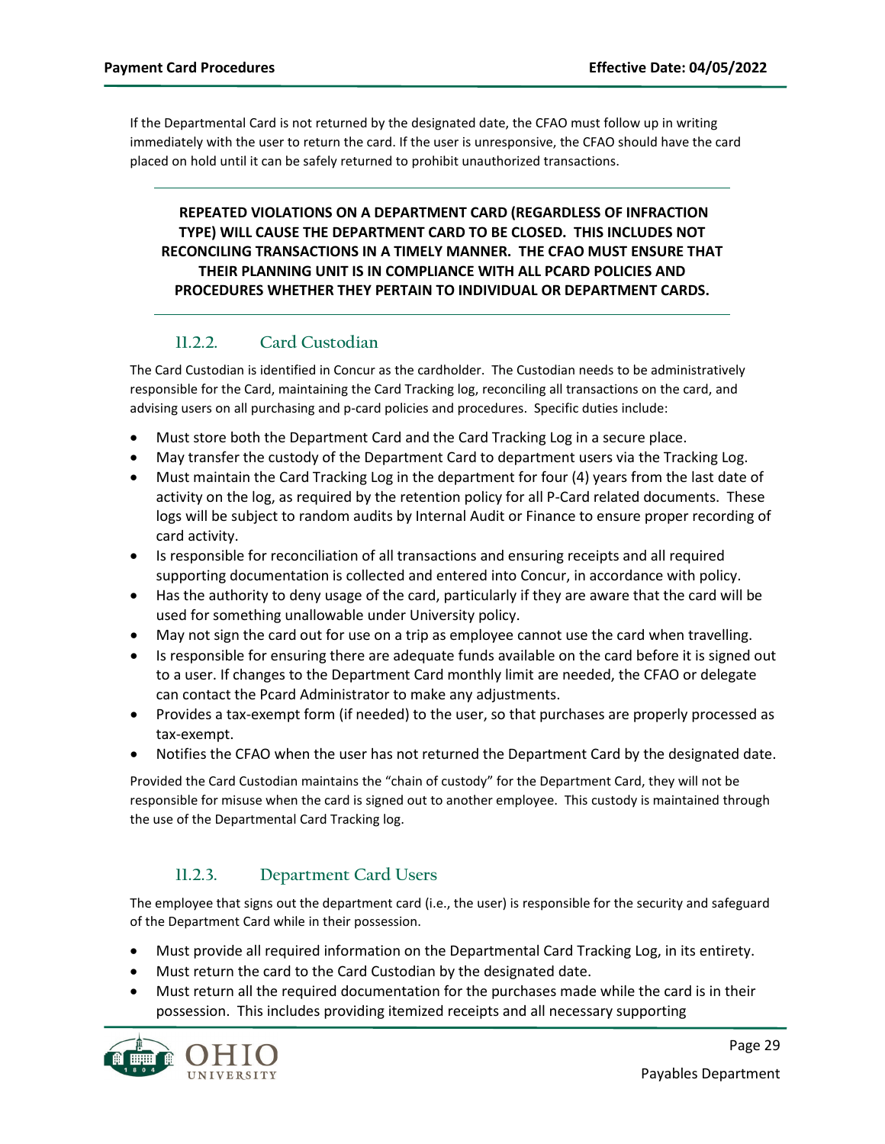If the Departmental Card is not returned by the designated date, the CFAO must follow up in writing immediately with the user to return the card. If the user is unresponsive, the CFAO should have the card placed on hold until it can be safely returned to prohibit unauthorized transactions.

**REPEATED VIOLATIONS ON A DEPARTMENT CARD (REGARDLESS OF INFRACTION TYPE) WILL CAUSE THE DEPARTMENT CARD TO BE CLOSED. THIS INCLUDES NOT RECONCILING TRANSACTIONS IN A TIMELY MANNER. THE CFAO MUST ENSURE THAT THEIR PLANNING UNIT IS IN COMPLIANCE WITH ALL PCARD POLICIES AND PROCEDURES WHETHER THEY PERTAIN TO INDIVIDUAL OR DEPARTMENT CARDS.** 

#### **11.2.2. Card Custodian**

<span id="page-28-0"></span>The Card Custodian is identified in Concur as the cardholder. The Custodian needs to be administratively responsible for the Card, maintaining the Card Tracking log, reconciling all transactions on the card, and advising users on all purchasing and p-card policies and procedures. Specific duties include:

- Must store both the Department Card and the Card Tracking Log in a secure place.
- May transfer the custody of the Department Card to department users via the Tracking Log.
- Must maintain the Card Tracking Log in the department for four (4) years from the last date of activity on the log, as required by the retention policy for all P-Card related documents. These logs will be subject to random audits by Internal Audit or Finance to ensure proper recording of card activity.
- Is responsible for reconciliation of all transactions and ensuring receipts and all required supporting documentation is collected and entered into Concur, in accordance with policy.
- Has the authority to deny usage of the card, particularly if they are aware that the card will be used for something unallowable under University policy.
- May not sign the card out for use on a trip as employee cannot use the card when travelling.
- Is responsible for ensuring there are adequate funds available on the card before it is signed out to a user. If changes to the Department Card monthly limit are needed, the CFAO or delegate can contact the Pcard Administrator to make any adjustments.
- Provides a tax-exempt form (if needed) to the user, so that purchases are properly processed as tax-exempt.
- Notifies the CFAO when the user has not returned the Department Card by the designated date.

Provided the Card Custodian maintains the "chain of custody" for the Department Card, they will not be responsible for misuse when the card is signed out to another employee. This custody is maintained through the use of the Departmental Card Tracking log.

#### **11.2.3. Department Card Users**

<span id="page-28-1"></span>The employee that signs out the department card (i.e., the user) is responsible for the security and safeguard of the Department Card while in their possession.

- Must provide all required information on the Departmental Card Tracking Log, in its entirety.
- Must return the card to the Card Custodian by the designated date.
- Must return all the required documentation for the purchases made while the card is in their possession. This includes providing itemized receipts and all necessary supporting

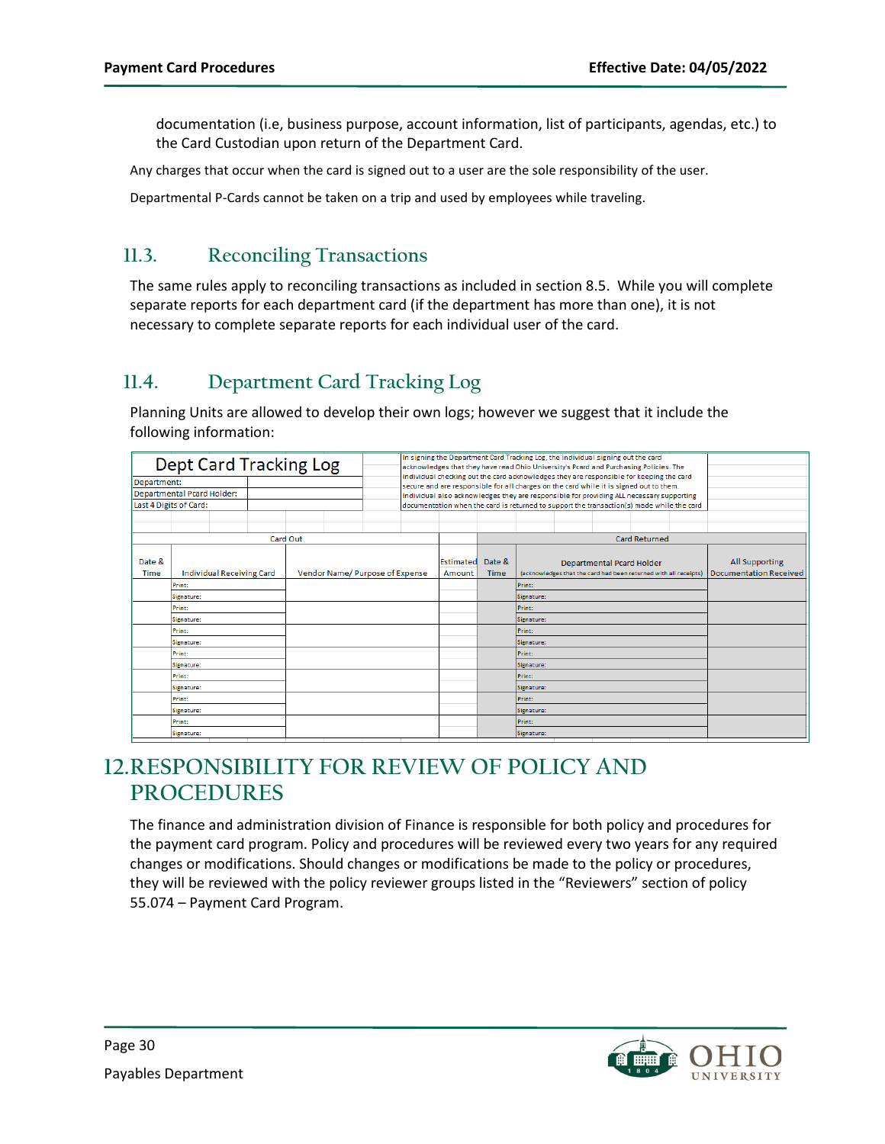documentation (i.e, business purpose, account information, list of participants, agendas, etc.) to the Card Custodian upon return of the Department Card.

Any charges that occur when the card is signed out to a user are the sole responsibility of the user.

Departmental P-Cards cannot be taken on a trip and used by employees while traveling.

### <span id="page-29-0"></span>**11.3. Reconciling Transactions**

The same rules apply to reconciling transactions as included in sectio[n 8.5.](#page-21-0) While you will complete separate reports for each department card (if the department has more than one), it is not necessary to complete separate reports for each individual user of the card.

## <span id="page-29-1"></span>**11.4. Department Card Tracking Log**

Planning Units are allowed to develop their own logs; however we suggest that it include the following information:

| <b>Dept Card Tracking Log</b> |            |                                  |          | In signing the Department Card Tracking Log, the individual signing out the card<br>acknowledges that they have read Ohio University's Pcard and Purchasing Policies. The<br>individual checking out the card acknowledges they are responsible for keeping the card |        |                                                                                           |           |             |            |                                                                  |                           |                      |  |                               |
|-------------------------------|------------|----------------------------------|----------|----------------------------------------------------------------------------------------------------------------------------------------------------------------------------------------------------------------------------------------------------------------------|--------|-------------------------------------------------------------------------------------------|-----------|-------------|------------|------------------------------------------------------------------|---------------------------|----------------------|--|-------------------------------|
| Department:                   |            |                                  |          |                                                                                                                                                                                                                                                                      |        | secure and are responsible for all charges on the card while it is signed out to them.    |           |             |            |                                                                  |                           |                      |  |                               |
| Departmental Pcard Holder:    |            |                                  |          |                                                                                                                                                                                                                                                                      |        | Individual also acknowledges they are responsible for providing ALL necessary supporting  |           |             |            |                                                                  |                           |                      |  |                               |
| Last 4 Digits of Card:        |            |                                  |          |                                                                                                                                                                                                                                                                      |        | documentation when the card is returned to support the transaction(s) made while the card |           |             |            |                                                                  |                           |                      |  |                               |
|                               |            |                                  |          |                                                                                                                                                                                                                                                                      |        |                                                                                           |           |             |            |                                                                  |                           |                      |  |                               |
|                               |            |                                  |          |                                                                                                                                                                                                                                                                      |        |                                                                                           |           |             |            |                                                                  |                           |                      |  |                               |
|                               |            |                                  | Card Out |                                                                                                                                                                                                                                                                      |        |                                                                                           |           |             |            |                                                                  |                           | <b>Card Returned</b> |  |                               |
|                               |            |                                  |          |                                                                                                                                                                                                                                                                      |        |                                                                                           |           |             |            |                                                                  |                           |                      |  |                               |
| Date &                        |            |                                  |          |                                                                                                                                                                                                                                                                      |        |                                                                                           | Estimated | Date &      |            |                                                                  | Departmental Pcard Holder |                      |  | All Supporting                |
| Time                          |            | <b>Individual Receiving Card</b> |          | Vendor Name/ Purpose of Expense                                                                                                                                                                                                                                      |        |                                                                                           | Amount    | <b>Time</b> |            | (acknowledges that the card had been returned with all receipts) |                           |                      |  | <b>Documentation Received</b> |
|                               | Print:     |                                  |          |                                                                                                                                                                                                                                                                      |        |                                                                                           |           |             | Print:     |                                                                  |                           |                      |  |                               |
|                               | Signature: |                                  |          |                                                                                                                                                                                                                                                                      |        |                                                                                           |           |             | Signature: |                                                                  |                           |                      |  |                               |
|                               | Print:     |                                  |          |                                                                                                                                                                                                                                                                      |        |                                                                                           |           |             | Print:     |                                                                  |                           |                      |  |                               |
|                               | Signature: |                                  |          |                                                                                                                                                                                                                                                                      |        |                                                                                           |           |             | Signature: |                                                                  |                           |                      |  |                               |
|                               | Print:     |                                  |          |                                                                                                                                                                                                                                                                      |        |                                                                                           |           |             | Print:     |                                                                  |                           |                      |  |                               |
|                               | Signature: |                                  |          |                                                                                                                                                                                                                                                                      |        |                                                                                           |           |             | Signature: |                                                                  |                           |                      |  |                               |
|                               | Print:     |                                  |          |                                                                                                                                                                                                                                                                      |        |                                                                                           |           |             |            |                                                                  |                           |                      |  |                               |
|                               |            |                                  |          |                                                                                                                                                                                                                                                                      |        |                                                                                           |           | Print:      |            |                                                                  |                           |                      |  |                               |
|                               | Signature: |                                  |          |                                                                                                                                                                                                                                                                      |        |                                                                                           |           | Signature:  |            |                                                                  |                           |                      |  |                               |
|                               | Print:     |                                  |          |                                                                                                                                                                                                                                                                      |        |                                                                                           |           |             | Print:     |                                                                  |                           |                      |  |                               |
|                               | Signature: |                                  |          |                                                                                                                                                                                                                                                                      |        |                                                                                           |           |             | Signature: |                                                                  |                           |                      |  |                               |
| Print:                        |            |                                  |          |                                                                                                                                                                                                                                                                      | Print: |                                                                                           |           |             |            |                                                                  |                           |                      |  |                               |
|                               | Signature: |                                  |          |                                                                                                                                                                                                                                                                      |        |                                                                                           |           |             | Signature: |                                                                  |                           |                      |  |                               |
|                               | Print:     |                                  |          |                                                                                                                                                                                                                                                                      |        |                                                                                           |           |             | Print:     |                                                                  |                           |                      |  |                               |
|                               | Signature: |                                  |          |                                                                                                                                                                                                                                                                      |        |                                                                                           |           |             | Signature: |                                                                  |                           |                      |  |                               |

# <span id="page-29-2"></span>**12.RESPONSIBILITY FOR REVIEW OF POLICY AND PROCEDURES**

The finance and administration division of Finance is responsible for both policy and procedures for the payment card program. Policy and procedures will be reviewed every two years for any required changes or modifications. Should changes or modifications be made to the policy or procedures, they will be reviewed with the policy reviewer groups listed in the "Reviewers" section of policy 55.074 – Payment Card Program.